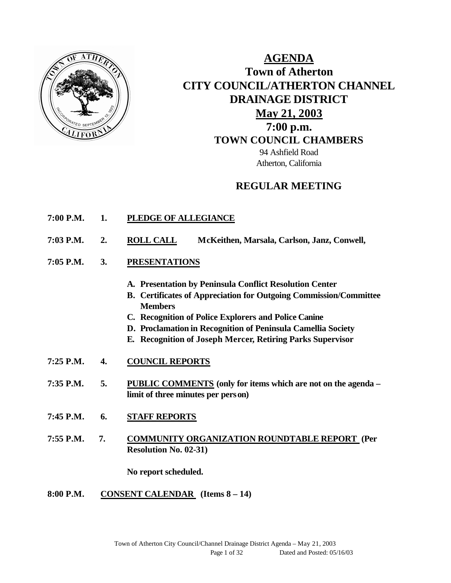

# **AGENDA Town of Atherton CITY COUNCIL/ATHERTON CHANNEL DRAINAGE DISTRICT May 21, 2003 7:00 p.m. TOWN COUNCIL CHAMBERS** 94 Ashfield Road Atherton, California

# **REGULAR MEETING**

- **7:00 P.M. 1. PLEDGE OF ALLEGIANCE**
- **7:03 P.M. 2. ROLL CALL McKeithen, Marsala, Carlson, Janz, Conwell,**
- **7:05 P.M. 3. PRESENTATIONS** 
	- **A. Presentation by Peninsula Conflict Resolution Center**
	- **B. Certificates of Appreciation for Outgoing Commission/Committee Members**
	- **C. Recognition of Police Explorers and Police Canine**
	- **D. Proclamation in Recognition of Peninsula Camellia Society**
	- **E. Recognition of Joseph Mercer, Retiring Parks Supervisor**
- **7:25 P.M. 4. COUNCIL REPORTS**
- **7:35 P.M. 5. PUBLIC COMMENTS (only for items which are not on the agenda – limit of three minutes per person)**
- **7:45 P.M. 6. STAFF REPORTS**
- **7:55 P.M. 7. COMMUNITY ORGANIZATION ROUNDTABLE REPORT (Per Resolution No. 02-31)**

**No report scheduled.**

**8:00 P.M. CONSENT CALENDAR (Items 8 – 14)**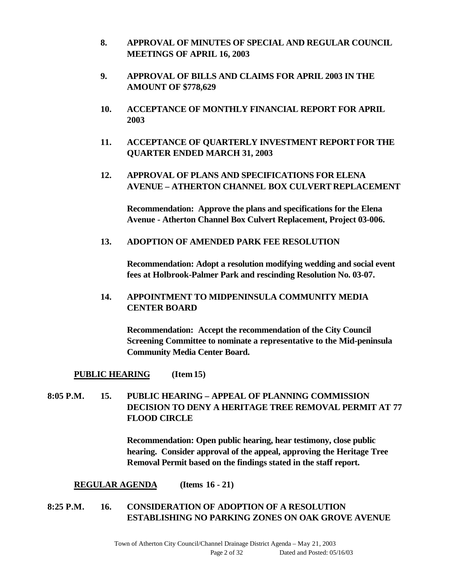- **8. APPROVAL OF MINUTES OF SPECIAL AND REGULAR COUNCIL MEETINGS OF APRIL 16, 2003**
- **9. APPROVAL OF BILLS AND CLAIMS FOR APRIL 2003 IN THE AMOUNT OF \$778,629**
- **10. ACCEPTANCE OF MONTHLY FINANCIAL REPORT FOR APRIL 2003**
- **11. ACCEPTANCE OF QUARTERLY INVESTMENT REPORT FOR THE QUARTER ENDED MARCH 31, 2003**
- **12. APPROVAL OF PLANS AND SPECIFICATIONS FOR ELENA AVENUE – ATHERTON CHANNEL BOX CULVERT REPLACEMENT**

**Recommendation: Approve the plans and specifications for the Elena Avenue - Atherton Channel Box Culvert Replacement, Project 03-006.**

#### **13. ADOPTION OF AMENDED PARK FEE RESOLUTION**

**Recommendation: Adopt a resolution modifying wedding and social event fees at Holbrook-Palmer Park and rescinding Resolution No. 03-07.**

**14. APPOINTMENT TO MIDPENINSULA COMMUNITY MEDIA CENTER BOARD** 

**Recommendation: Accept the recommendation of the City Council Screening Committee to nominate a representative to the Mid-peninsula Community Media Center Board.**

**PUBLIC HEARING (Item 15)**

## **8:05 P.M. 15. PUBLIC HEARING – APPEAL OF PLANNING COMMISSION DECISION TO DENY A HERITAGE TREE REMOVAL PERMIT AT 77 FLOOD CIRCLE**

**Recommendation: Open public hearing, hear testimony, close public hearing. Consider approval of the appeal, approving the Heritage Tree Removal Permit based on the findings stated in the staff report.**

**REGULAR AGENDA (Items 16 - 21)**

## **8:25 P.M. 16. CONSIDERATION OF ADOPTION OF A RESOLUTION ESTABLISHING NO PARKING ZONES ON OAK GROVE AVENUE**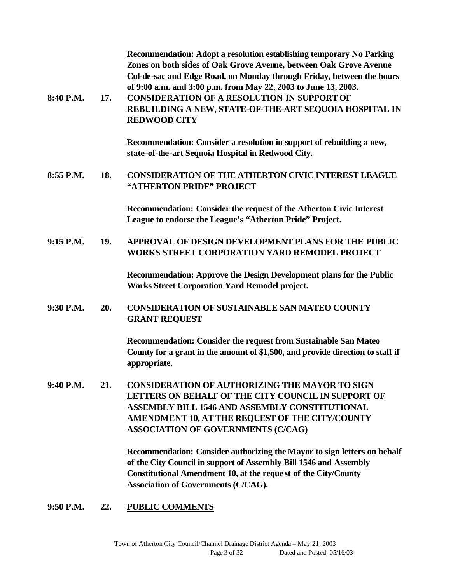| 8:40 P.M.   | 17. | Recommendation: Adopt a resolution establishing temporary No Parking<br>Zones on both sides of Oak Grove Avenue, between Oak Grove Avenue<br>Cul-de-sac and Edge Road, on Monday through Friday, between the hours<br>of 9:00 a.m. and 3:00 p.m. from May 22, 2003 to June 13, 2003.<br><b>CONSIDERATION OF A RESOLUTION IN SUPPORT OF</b><br>REBUILDING A NEW, STATE-OF-THE-ART SEQUOIA HOSPITAL IN<br><b>REDWOOD CITY</b> |
|-------------|-----|-----------------------------------------------------------------------------------------------------------------------------------------------------------------------------------------------------------------------------------------------------------------------------------------------------------------------------------------------------------------------------------------------------------------------------|
|             |     | Recommendation: Consider a resolution in support of rebuilding a new,<br>state-of-the-art Sequoia Hospital in Redwood City.                                                                                                                                                                                                                                                                                                 |
| 8:55 P.M.   | 18. | <b>CONSIDERATION OF THE ATHERTON CIVIC INTEREST LEAGUE</b><br>"ATHERTON PRIDE" PROJECT                                                                                                                                                                                                                                                                                                                                      |
|             |     | Recommendation: Consider the request of the Atherton Civic Interest<br>League to endorse the League's "Atherton Pride" Project.                                                                                                                                                                                                                                                                                             |
| $9:15$ P.M. | 19. | <b>APPROVAL OF DESIGN DEVELOPMENT PLANS FOR THE PUBLIC</b><br><b>WORKS STREET CORPORATION YARD REMODEL PROJECT</b>                                                                                                                                                                                                                                                                                                          |
|             |     | Recommendation: Approve the Design Development plans for the Public<br><b>Works Street Corporation Yard Remodel project.</b>                                                                                                                                                                                                                                                                                                |
| 9:30 P.M.   | 20. | <b>CONSIDERATION OF SUSTAINABLE SAN MATEO COUNTY</b><br><b>GRANT REQUEST</b>                                                                                                                                                                                                                                                                                                                                                |
|             |     | Recommendation: Consider the request from Sustainable San Mateo<br>County for a grant in the amount of \$1,500, and provide direction to staff if<br>appropriate.                                                                                                                                                                                                                                                           |
| 9:40 P.M.   | 21. | <b>CONSIDERATION OF AUTHORIZING THE MAYOR TO SIGN</b><br>LETTERS ON BEHALF OF THE CITY COUNCIL IN SUPPORT OF<br><b>ASSEMBLY BILL 1546 AND ASSEMBLY CONSTITUTIONAL</b><br>AMENDMENT 10, AT THE REQUEST OF THE CITY/COUNTY<br><b>ASSOCIATION OF GOVERNMENTS (C/CAG)</b>                                                                                                                                                       |
|             |     | Recommendation: Consider authorizing the Mayor to sign letters on behalf<br>of the City Council in support of Assembly Bill 1546 and Assembly<br>Constitutional Amendment 10, at the request of the City/County<br><b>Association of Governments (C/CAG).</b>                                                                                                                                                               |
| 9:50 P.M.   | 22. | <b>PUBLIC COMMENTS</b>                                                                                                                                                                                                                                                                                                                                                                                                      |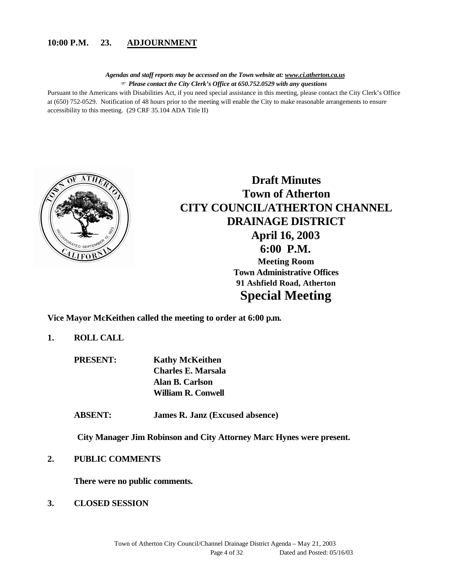#### **10:00 P.M. 23. ADJOURNMENT**

*Agendas and staff reports may be accessed on the Town website at: www.ci.atherton.ca.us* F *Please contact the City Clerk's Office at 650.752.0529 with any questions*

Pursuant to the Americans with Disabilities Act, if you need special assistance in this meeting, please contact the City Clerk's Office at (650) 752-0529. Notification of 48 hours prior to the meeting will enable the City to make reasonable arrangements to ensure accessibility to this meeting. (29 CRF 35.104 ADA Title II)



# **Draft Minutes Town of Atherton CITY COUNCIL/ATHERTON CHANNEL DRAINAGE DISTRICT April 16, 2003 6:00 P.M. Meeting Room Town Administrative Offices 91 Ashfield Road, Atherton Special Meeting**

**Vice Mayor McKeithen called the meeting to order at 6:00 p.m.**

#### **1. ROLL CALL**

**PRESENT: Kathy McKeithen Charles E. Marsala Alan B. Carlson William R. Conwell**

**ABSENT: James R. Janz (Excused absence)**

**City Manager Jim Robinson and City Attorney Marc Hynes were present.**

**2. PUBLIC COMMENTS**

**There were no public comments.**

**3. CLOSED SESSION**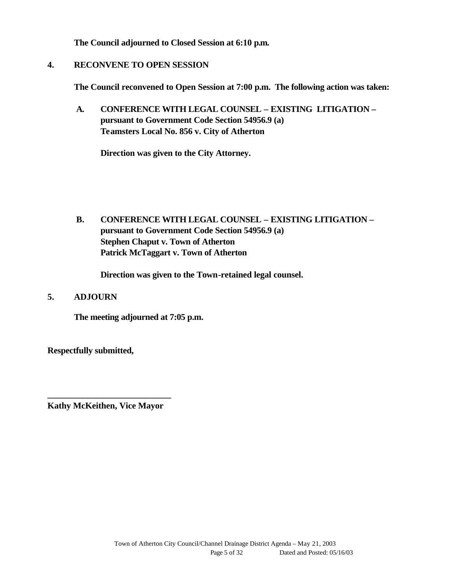**The Council adjourned to Closed Session at 6:10 p.m.**

#### **4. RECONVENE TO OPEN SESSION**

**The Council reconvened to Open Session at 7:00 p.m. The following action was taken:**

 **A. CONFERENCE WITH LEGAL COUNSEL – EXISTING LITIGATION – pursuant to Government Code Section 54956.9 (a) Teamsters Local No. 856 v. City of Atherton**

**Direction was given to the City Attorney.**

 **B. CONFERENCE WITH LEGAL COUNSEL – EXISTING LITIGATION – pursuant to Government Code Section 54956.9 (a) Stephen Chaput v. Town of Atherton Patrick McTaggart v. Town of Atherton**

**Direction was given to the Town-retained legal counsel.**

#### **5. ADJOURN**

**The meeting adjourned at 7:05 p.m.**

**Respectfully submitted,**

**\_\_\_\_\_\_\_\_\_\_\_\_\_\_\_\_\_\_\_\_\_\_\_\_\_\_\_\_ Kathy McKeithen, Vice Mayor**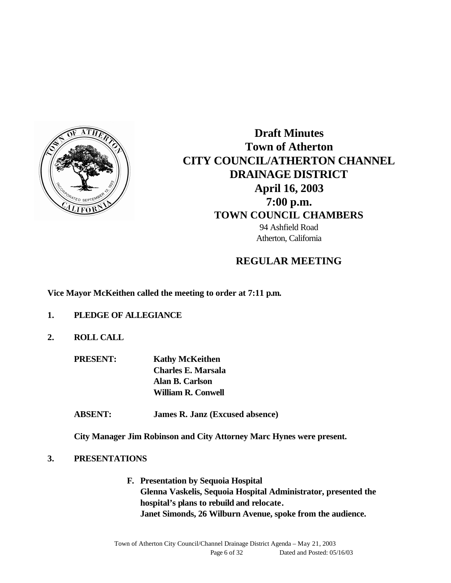

**Draft Minutes Town of Atherton CITY COUNCIL/ATHERTON CHANNEL DRAINAGE DISTRICT April 16, 2003 7:00 p.m. TOWN COUNCIL CHAMBERS** 94 Ashfield Road

**REGULAR MEETING**

Atherton, California

**Vice Mayor McKeithen called the meeting to order at 7:11 p.m.**

- **1. PLEDGE OF ALLEGIANCE**
- **2. ROLL CALL**

**PRESENT: Kathy McKeithen Charles E. Marsala Alan B. Carlson William R. Conwell**

**ABSENT: James R. Janz (Excused absence)**

**City Manager Jim Robinson and City Attorney Marc Hynes were present.**

#### **3. PRESENTATIONS**

**F. Presentation by Sequoia Hospital Glenna Vaskelis, Sequoia Hospital Administrator, presented the hospital's plans to rebuild and relocate. Janet Simonds, 26 Wilburn Avenue, spoke from the audience.**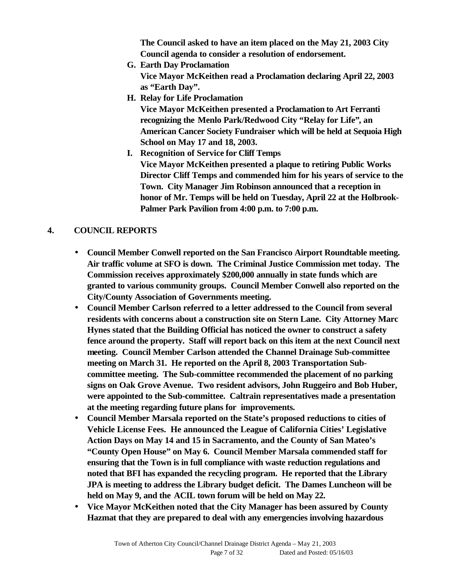**The Council asked to have an item placed on the May 21, 2003 City Council agenda to consider a resolution of endorsement.**

- **G. Earth Day Proclamation Vice Mayor McKeithen read a Proclamation declaring April 22, 2003 as "Earth Day".**
- **H. Relay for Life Proclamation**

**Vice Mayor McKeithen presented a Proclamation to Art Ferranti recognizing the Menlo Park/Redwood City "Relay for Life", an American Cancer Society Fundraiser which will be held at Sequoia High School on May 17 and 18, 2003.**

**I. Recognition of Service for Cliff Temps Vice Mayor McKeithen presented a plaque to retiring Public Works Director Cliff Temps and commended him for his years of service to the Town. City Manager Jim Robinson announced that a reception in honor of Mr. Temps will be held on Tuesday, April 22 at the Holbrook-Palmer Park Pavilion from 4:00 p.m. to 7:00 p.m.** 

## **4. COUNCIL REPORTS**

- **Council Member Conwell reported on the San Francisco Airport Roundtable meeting. Air traffic volume at SFO is down. The Criminal Justice Commission met today. The Commission receives approximately \$200,000 annually in state funds which are granted to various community groups. Council Member Conwell also reported on the City/County Association of Governments meeting.**
- **Council Member Carlson referred to a letter addressed to the Council from several residents with concerns about a construction site on Stern Lane. City Attorney Marc Hynes stated that the Building Official has noticed the owner to construct a safety fence around the property. Staff will report back on this item at the next Council next meeting. Council Member Carlson attended the Channel Drainage Sub-committee meeting on March 31. He reported on the April 8, 2003 Transportation Subcommittee meeting. The Sub-committee recommended the placement of no parking signs on Oak Grove Avenue. Two resident advisors, John Ruggeiro and Bob Huber, were appointed to the Sub-committee. Caltrain representatives made a presentation at the meeting regarding future plans for improvements.**
- **Council Member Marsala reported on the State's proposed reductions to cities of Vehicle License Fees. He announced the League of California Cities' Legislative Action Days on May 14 and 15 in Sacramento, and the County of San Mateo's "County Open House" on May 6. Council Member Marsala commended staff for ensuring that the Town is in full compliance with waste reduction regulations and noted that BFI has expanded the recycling program. He reported that the Library JPA is meeting to address the Library budget deficit. The Dames Luncheon will be held on May 9, and the ACIL town forum will be held on May 22.**
- **Vice Mayor McKeithen noted that the City Manager has been assured by County Hazmat that they are prepared to deal with any emergencies involving hazardous**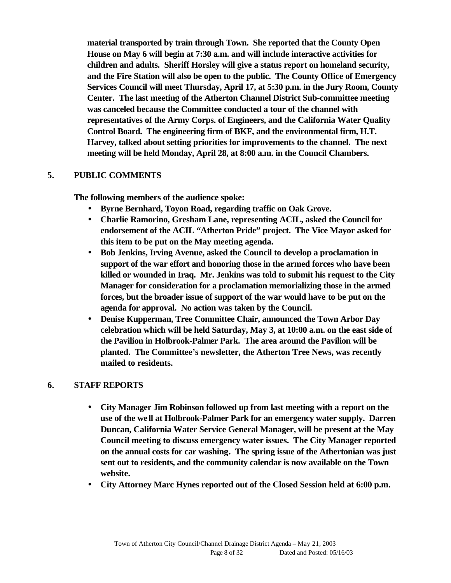**material transported by train through Town. She reported that the County Open House on May 6 will begin at 7:30 a.m. and will include interactive activities for children and adults. Sheriff Horsley will give a status report on homeland security, and the Fire Station will also be open to the public. The County Office of Emergency Services Council will meet Thursday, April 17, at 5:30 p.m. in the Jury Room, County Center. The last meeting of the Atherton Channel District Sub-committee meeting was canceled because the Committee conducted a tour of the channel with representatives of the Army Corps. of Engineers, and the California Water Quality Control Board. The engineering firm of BKF, and the environmental firm, H.T. Harvey, talked about setting priorities for improvements to the channel. The next meeting will be held Monday, April 28, at 8:00 a.m. in the Council Chambers.**

#### **5. PUBLIC COMMENTS**

**The following members of the audience spoke:**

- **Byrne Bernhard, Toyon Road, regarding traffic on Oak Grove.**
- **Charlie Ramorino, Gresham Lane, representing ACIL, asked the Council for endorsement of the ACIL "Atherton Pride" project. The Vice Mayor asked for this item to be put on the May meeting agenda.**
- **Bob Jenkins, Irving Avenue, asked the Council to develop a proclamation in support of the war effort and honoring those in the armed forces who have been killed or wounded in Iraq. Mr. Jenkins was told to submit his request to the City Manager for consideration for a proclamation memorializing those in the armed forces, but the broader issue of support of the war would have to be put on the agenda for approval. No action was taken by the Council.**
- **Denise Kupperman, Tree Committee Chair, announced the Town Arbor Day celebration which will be held Saturday, May 3, at 10:00 a.m. on the east side of the Pavilion in Holbrook-Palmer Park. The area around the Pavilion will be planted. The Committee's newsletter, the Atherton Tree News, was recently mailed to residents.**

#### **6. STAFF REPORTS**

- **City Manager Jim Robinson followed up from last meeting with a report on the use of the well at Holbrook-Palmer Park for an emergency water supply. Darren Duncan, California Water Service General Manager, will be present at the May Council meeting to discuss emergency water issues. The City Manager reported on the annual costs for car washing. The spring issue of the Athertonian was just sent out to residents, and the community calendar is now available on the Town website.**
- **City Attorney Marc Hynes reported out of the Closed Session held at 6:00 p.m.**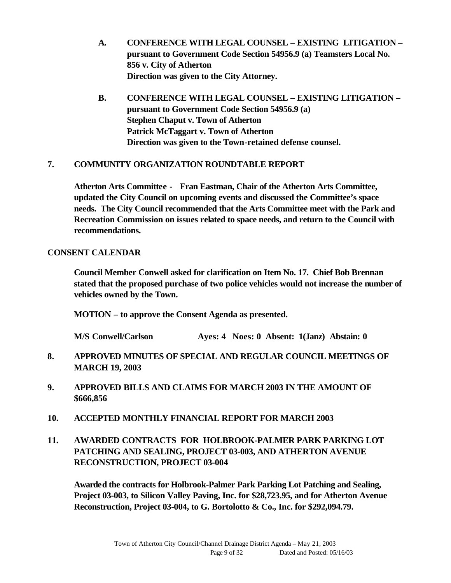- **A. CONFERENCE WITH LEGAL COUNSEL EXISTING LITIGATION – pursuant to Government Code Section 54956.9 (a) Teamsters Local No. 856 v. City of Atherton Direction was given to the City Attorney.**
- **B. CONFERENCE WITH LEGAL COUNSEL EXISTING LITIGATION – pursuant to Government Code Section 54956.9 (a) Stephen Chaput v. Town of Atherton Patrick McTaggart v. Town of Atherton Direction was given to the Town-retained defense counsel.**

#### **7. COMMUNITY ORGANIZATION ROUNDTABLE REPORT**

**Atherton Arts Committee - Fran Eastman, Chair of the Atherton Arts Committee, updated the City Council on upcoming events and discussed the Committee's space needs. The City Council recommended that the Arts Committee meet with the Park and Recreation Commission on issues related to space needs, and return to the Council with recommendations.** 

#### **CONSENT CALENDAR**

**Council Member Conwell asked for clarification on Item No. 17. Chief Bob Brennan stated that the proposed purchase of two police vehicles would not increase the number of vehicles owned by the Town.**

**MOTION – to approve the Consent Agenda as presented.** 

**M/S Conwell/Carlson Ayes: 4 Noes: 0 Absent: 1(Janz) Abstain: 0**

- **8. APPROVED MINUTES OF SPECIAL AND REGULAR COUNCIL MEETINGS OF MARCH 19, 2003**
- **9. APPROVED BILLS AND CLAIMS FOR MARCH 2003 IN THE AMOUNT OF \$666,856**
- **10. ACCEPTED MONTHLY FINANCIAL REPORT FOR MARCH 2003**
- **11. AWARDED CONTRACTS FOR HOLBROOK-PALMER PARK PARKING LOT PATCHING AND SEALING, PROJECT 03-003, AND ATHERTON AVENUE RECONSTRUCTION, PROJECT 03-004**

**Awarded the contracts for Holbrook-Palmer Park Parking Lot Patching and Sealing, Project 03-003, to Silicon Valley Paving, Inc. for \$28,723.95, and for Atherton Avenue Reconstruction, Project 03-004, to G. Bortolotto & Co., Inc. for \$292,094.79.**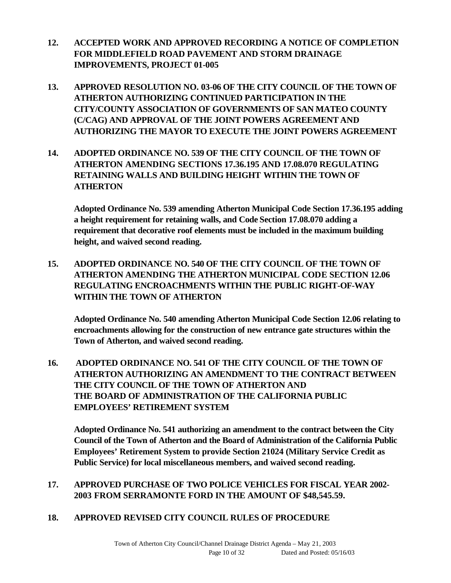- **12. ACCEPTED WORK AND APPROVED RECORDING A NOTICE OF COMPLETION FOR MIDDLEFIELD ROAD PAVEMENT AND STORM DRAINAGE IMPROVEMENTS, PROJECT 01-005**
- **13. APPROVED RESOLUTION NO. 03-06 OF THE CITY COUNCIL OF THE TOWN OF ATHERTON AUTHORIZING CONTINUED PARTICIPATION IN THE CITY/COUNTY ASSOCIATION OF GOVERNMENTS OF SAN MATEO COUNTY (C/CAG) AND APPROVAL OF THE JOINT POWERS AGREEMENT AND AUTHORIZING THE MAYOR TO EXECUTE THE JOINT POWERS AGREEMENT**
- **14. ADOPTED ORDINANCE NO. 539 OF THE CITY COUNCIL OF THE TOWN OF ATHERTON AMENDING SECTIONS 17.36.195 AND 17.08.070 REGULATING RETAINING WALLS AND BUILDING HEIGHT WITHIN THE TOWN OF ATHERTON**

**Adopted Ordinance No. 539 amending Atherton Municipal Code Section 17.36.195 adding a height requirement for retaining walls, and Code Section 17.08.070 adding a requirement that decorative roof elements must be included in the maximum building height, and waived second reading.**

**15. ADOPTED ORDINANCE NO. 540 OF THE CITY COUNCIL OF THE TOWN OF ATHERTON AMENDING THE ATHERTON MUNICIPAL CODE SECTION 12.06 REGULATING ENCROACHMENTS WITHIN THE PUBLIC RIGHT-OF-WAY WITHIN THE TOWN OF ATHERTON**

**Adopted Ordinance No. 540 amending Atherton Municipal Code Section 12.06 relating to encroachments allowing for the construction of new entrance gate structures within the Town of Atherton, and waived second reading.**

**16. ADOPTED ORDINANCE NO. 541 OF THE CITY COUNCIL OF THE TOWN OF ATHERTON AUTHORIZING AN AMENDMENT TO THE CONTRACT BETWEEN THE CITY COUNCIL OF THE TOWN OF ATHERTON AND THE BOARD OF ADMINISTRATION OF THE CALIFORNIA PUBLIC EMPLOYEES' RETIREMENT SYSTEM** 

**Adopted Ordinance No. 541 authorizing an amendment to the contract between the City Council of the Town of Atherton and the Board of Administration of the California Public Employees' Retirement System to provide Section 21024 (Military Service Credit as Public Service) for local miscellaneous members, and waived second reading.**

## **17. APPROVED PURCHASE OF TWO POLICE VEHICLES FOR FISCAL YEAR 2002- 2003 FROM SERRAMONTE FORD IN THE AMOUNT OF \$48,545.59.**

**18. APPROVED REVISED CITY COUNCIL RULES OF PROCEDURE**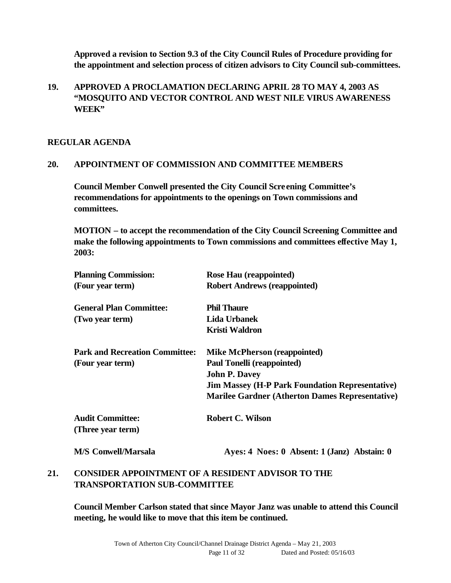**Approved a revision to Section 9.3 of the City Council Rules of Procedure providing for the appointment and selection process of citizen advisors to City Council sub-committees.** 

## **19. APPROVED A PROCLAMATION DECLARING APRIL 28 TO MAY 4, 2003 AS "MOSQUITO AND VECTOR CONTROL AND WEST NILE VIRUS AWARENESS WEEK"**

#### **REGULAR AGENDA**

## **20. APPOINTMENT OF COMMISSION AND COMMITTEE MEMBERS**

**Council Member Conwell presented the City Council Screening Committee's recommendations for appointments to the openings on Town commissions and committees.** 

**MOTION – to accept the recommendation of the City Council Screening Committee and make the following appointments to Town commissions and committees effective May 1, 2003:**

| <b>Planning Commission:</b>                  | Rose Hau (reappointed)                                 |
|----------------------------------------------|--------------------------------------------------------|
| (Four year term)                             | <b>Robert Andrews (reappointed)</b>                    |
| <b>General Plan Committee:</b>               | <b>Phil Thaure</b>                                     |
| (Two year term)                              | Lida Urbanek                                           |
|                                              | <b>Kristi Waldron</b>                                  |
| <b>Park and Recreation Committee:</b>        | <b>Mike McPherson (reappointed)</b>                    |
| (Four year term)                             | <b>Paul Tonelli (reappointed)</b>                      |
|                                              | <b>John P. Davey</b>                                   |
|                                              | <b>Jim Massey (H-P Park Foundation Representative)</b> |
|                                              | <b>Marilee Gardner (Atherton Dames Representative)</b> |
| <b>Audit Committee:</b><br>(Three year term) | <b>Robert C. Wilson</b>                                |
| <b>M/S Conwell/Marsala</b>                   | Ayes: 4 Noes: 0 Absent: 1 (Janz) Abstain: 0            |

## **21. CONSIDER APPOINTMENT OF A RESIDENT ADVISOR TO THE TRANSPORTATION SUB-COMMITTEE**

**Council Member Carlson stated that since Mayor Janz was unable to attend this Council meeting, he would like to move that this item be continued.**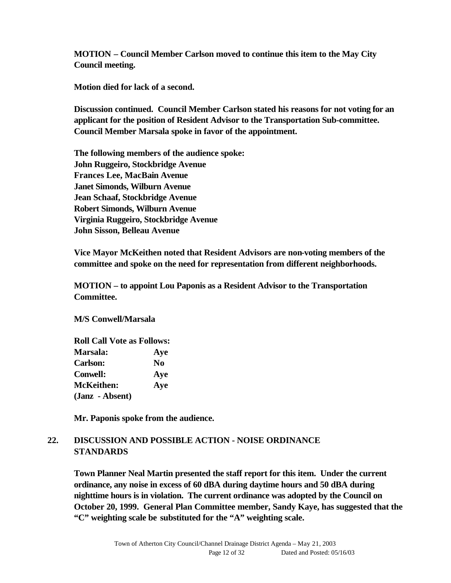**MOTION – Council Member Carlson moved to continue this item to the May City Council meeting.**

**Motion died for lack of a second.**

**Discussion continued. Council Member Carlson stated his reasons for not voting for an applicant for the position of Resident Advisor to the Transportation Sub-committee. Council Member Marsala spoke in favor of the appointment.** 

**The following members of the audience spoke: John Ruggeiro, Stockbridge Avenue Frances Lee, MacBain Avenue Janet Simonds, Wilburn Avenue Jean Schaaf, Stockbridge Avenue Robert Simonds, Wilburn Avenue Virginia Ruggeiro, Stockbridge Avenue John Sisson, Belleau Avenue**

**Vice Mayor McKeithen noted that Resident Advisors are non-voting members of the committee and spoke on the need for representation from different neighborhoods.**

**MOTION – to appoint Lou Paponis as a Resident Advisor to the Transportation Committee.**

**M/S Conwell/Marsala**

| <b>Roll Call Vote as Follows:</b> |                |
|-----------------------------------|----------------|
| <b>Marsala:</b>                   | Aye            |
| <b>Carlson:</b>                   | N <sub>0</sub> |
| <b>Conwell:</b>                   | Aye            |
| <b>McKeithen:</b>                 | Aye            |
| (Janz - Absent)                   |                |

**Mr. Paponis spoke from the audience.**

## **22. DISCUSSION AND POSSIBLE ACTION - NOISE ORDINANCE STANDARDS**

**Town Planner Neal Martin presented the staff report for this item. Under the current ordinance, any noise in excess of 60 dBA during daytime hours and 50 dBA during nighttime hours is in violation. The current ordinance was adopted by the Council on October 20, 1999. General Plan Committee member, Sandy Kaye, has suggested that the "C" weighting scale be substituted for the "A" weighting scale.**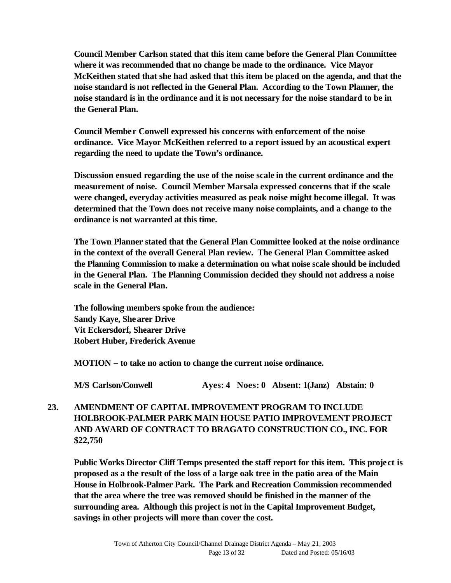**Council Member Carlson stated that this item came before the General Plan Committee where it was recommended that no change be made to the ordinance. Vice Mayor McKeithen stated that she had asked that this item be placed on the agenda, and that the noise standard is not reflected in the General Plan. According to the Town Planner, the noise standard is in the ordinance and it is not necessary for the noise standard to be in the General Plan.** 

**Council Member Conwell expressed his concerns with enforcement of the noise ordinance. Vice Mayor McKeithen referred to a report issued by an acoustical expert regarding the need to update the Town's ordinance.**

**Discussion ensued regarding the use of the noise scale in the current ordinance and the measurement of noise. Council Member Marsala expressed concerns that if the scale were changed, everyday activities measured as peak noise might become illegal. It was determined that the Town does not receive many noise complaints, and a change to the ordinance is not warranted at this time.**

**The Town Planner stated that the General Plan Committee looked at the noise ordinance in the context of the overall General Plan review. The General Plan Committee asked the Planning Commission to make a determination on what noise scale should be included in the General Plan. The Planning Commission decided they should not address a noise scale in the General Plan.**

**The following members spoke from the audience: Sandy Kaye, Shearer Drive Vit Eckersdorf, Shearer Drive Robert Huber, Frederick Avenue**

**MOTION – to take no action to change the current noise ordinance.** 

**M/S Carlson/Conwell Ayes: 4 Noes: 0 Absent: 1(Janz) Abstain: 0**

## **23. AMENDMENT OF CAPITAL IMPROVEMENT PROGRAM TO INCLUDE HOLBROOK-PALMER PARK MAIN HOUSE PATIO IMPROVEMENT PROJECT AND AWARD OF CONTRACT TO BRAGATO CONSTRUCTION CO., INC. FOR \$22,750**

**Public Works Director Cliff Temps presented the staff report for this item. This project is proposed as a the result of the loss of a large oak tree in the patio area of the Main House in Holbrook-Palmer Park. The Park and Recreation Commission recommended that the area where the tree was removed should be finished in the manner of the surrounding area. Although this project is not in the Capital Improvement Budget, savings in other projects will more than cover the cost.**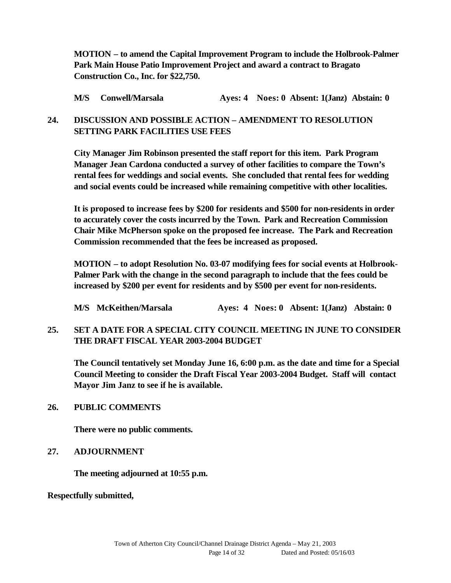**MOTION – to amend the Capital Improvement Program to include the Holbrook-Palmer Park Main House Patio Improvement Project and award a contract to Bragato Construction Co., Inc. for \$22,750.**

**M/S Conwell/Marsala Ayes: 4 Noes: 0 Absent: 1(Janz) Abstain: 0**

## **24. DISCUSSION AND POSSIBLE ACTION – AMENDMENT TO RESOLUTION SETTING PARK FACILITIES USE FEES**

**City Manager Jim Robinson presented the staff report for this item. Park Program Manager Jean Cardona conducted a survey of other facilities to compare the Town's rental fees for weddings and social events. She concluded that rental fees for wedding and social events could be increased while remaining competitive with other localities.** 

**It is proposed to increase fees by \$200 for residents and \$500 for non-residents in order to accurately cover the costs incurred by the Town. Park and Recreation Commission Chair Mike McPherson spoke on the proposed fee increase. The Park and Recreation Commission recommended that the fees be increased as proposed.** 

**MOTION – to adopt Resolution No. 03-07 modifying fees for social events at Holbrook-Palmer Park with the change in the second paragraph to include that the fees could be increased by \$200 per event for residents and by \$500 per event for non-residents.**

**M/S McKeithen/Marsala Ayes: 4 Noes: 0 Absent: 1(Janz) Abstain: 0**

## **25. SET A DATE FOR A SPECIAL CITY COUNCIL MEETING IN JUNE TO CONSIDER THE DRAFT FISCAL YEAR 2003-2004 BUDGET**

**The Council tentatively set Monday June 16, 6:00 p.m. as the date and time for a Special Council Meeting to consider the Draft Fiscal Year 2003-2004 Budget. Staff will contact Mayor Jim Janz to see if he is available.**

#### **26. PUBLIC COMMENTS**

**There were no public comments.**

#### **27. ADJOURNMENT**

**The meeting adjourned at 10:55 p.m.**

**Respectfully submitted,**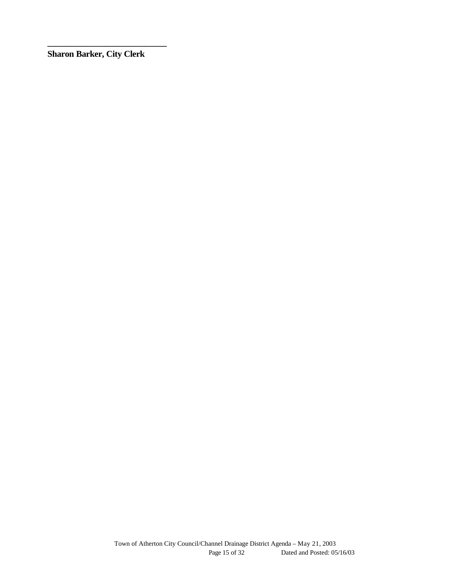**Sharon Barker, City Clerk**

**\_\_\_\_\_\_\_\_\_\_\_\_\_\_\_\_\_\_\_\_\_\_\_\_\_\_\_**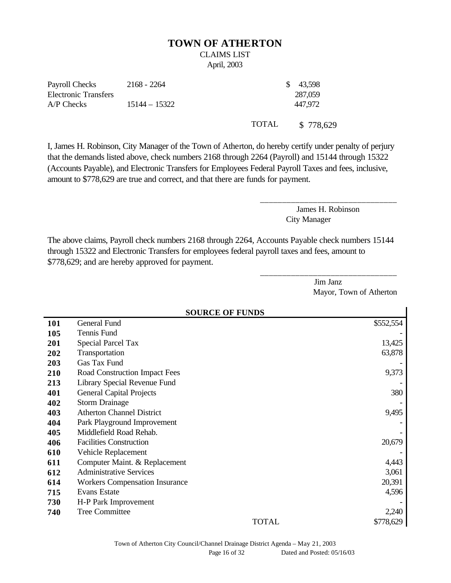#### **TOWN OF ATHERTON**

# CLAIMS LIST

April, 2003

| Payroll Checks              | $2168 - 2264$   | \$ 43,598 |
|-----------------------------|-----------------|-----------|
| <b>Electronic Transfers</b> |                 | 287,059   |
| A/P Checks                  | $15144 - 15322$ | 447.972   |
|                             |                 |           |

TOTAL \$ 778,629

I, James H. Robinson, City Manager of the Town of Atherton, do hereby certify under penalty of perjury that the demands listed above, check numbers 2168 through 2264 (Payroll) and 15144 through 15322 (Accounts Payable), and Electronic Transfers for Employees Federal Payroll Taxes and fees, inclusive, amount to \$778,629 are true and correct, and that there are funds for payment.

> James H. Robinson City Manager

\_\_\_\_\_\_\_\_\_\_\_\_\_\_\_\_\_\_\_\_\_\_\_\_\_\_\_\_\_\_\_

\_\_\_\_\_\_\_\_\_\_\_\_\_\_\_\_\_\_\_\_\_\_\_\_\_\_\_\_\_\_\_

The above claims, Payroll check numbers 2168 through 2264, Accounts Payable check numbers 15144 through 15322 and Electronic Transfers for employees federal payroll taxes and fees, amount to \$778,629; and are hereby approved for payment.

> Jim Janz Mayor, Town of Atherton

|            | <b>SOURCE OF FUNDS</b>                |           |  |
|------------|---------------------------------------|-----------|--|
| <b>101</b> | General Fund                          | \$552,554 |  |
| 105        | Tennis Fund                           |           |  |
| 201        | <b>Special Parcel Tax</b>             | 13,425    |  |
| 202        | Transportation                        | 63,878    |  |
| 203        | Gas Tax Fund                          |           |  |
| 210        | Road Construction Impact Fees         | 9,373     |  |
| 213        | Library Special Revenue Fund          |           |  |
| 401        | <b>General Capital Projects</b>       | 380       |  |
| 402        | <b>Storm Drainage</b>                 |           |  |
| 403        | <b>Atherton Channel District</b>      | 9,495     |  |
| 404        | Park Playground Improvement           |           |  |
| 405        | Middlefield Road Rehab.               |           |  |
| 406        | <b>Facilities Construction</b>        | 20,679    |  |
| 610        | Vehicle Replacement                   |           |  |
| 611        | Computer Maint. & Replacement         | 4,443     |  |
| 612        | <b>Administrative Services</b>        | 3,061     |  |
| 614        | <b>Workers Compensation Insurance</b> | 20,391    |  |
| 715        | <b>Evans Estate</b>                   | 4,596     |  |
| 730        | H-P Park Improvement                  |           |  |
| 740        | <b>Tree Committee</b>                 | 2,240     |  |
|            | <b>TOTAL</b>                          | \$778,629 |  |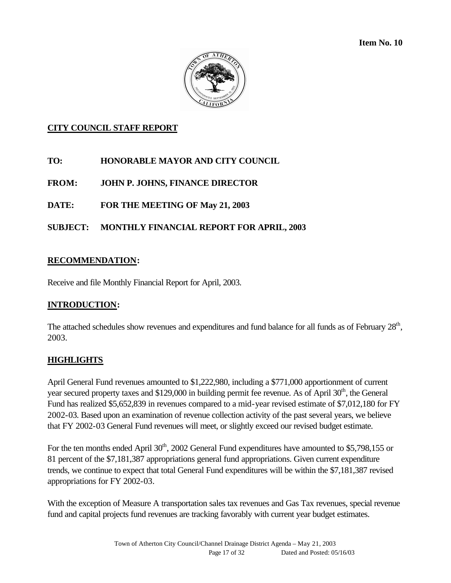**Item No. 10** 



## **CITY COUNCIL STAFF REPORT**

- **TO: HONORABLE MAYOR AND CITY COUNCIL**
- **FROM: JOHN P. JOHNS, FINANCE DIRECTOR**
- **DATE: FOR THE MEETING OF May 21, 2003**

## **SUBJECT: MONTHLY FINANCIAL REPORT FOR APRIL, 2003**

#### **RECOMMENDATION:**

Receive and file Monthly Financial Report for April, 2003.

#### **INTRODUCTION:**

The attached schedules show revenues and expenditures and fund balance for all funds as of February 28<sup>th</sup>, 2003.

#### **HIGHLIGHTS**

April General Fund revenues amounted to \$1,222,980, including a \$771,000 apportionment of current year secured property taxes and  $$129,000$  in building permit fee revenue. As of April  $30<sup>th</sup>$ , the General Fund has realized \$5,652,839 in revenues compared to a mid-year revised estimate of \$7,012,180 for FY 2002-03. Based upon an examination of revenue collection activity of the past several years, we believe that FY 2002-03 General Fund revenues will meet, or slightly exceed our revised budget estimate.

For the ten months ended April  $30<sup>th</sup>$ , 2002 General Fund expenditures have amounted to \$5,798,155 or 81 percent of the \$7,181,387 appropriations general fund appropriations. Given current expenditure trends, we continue to expect that total General Fund expenditures will be within the \$7,181,387 revised appropriations for FY 2002-03.

With the exception of Measure A transportation sales tax revenues and Gas Tax revenues, special revenue fund and capital projects fund revenues are tracking favorably with current year budget estimates.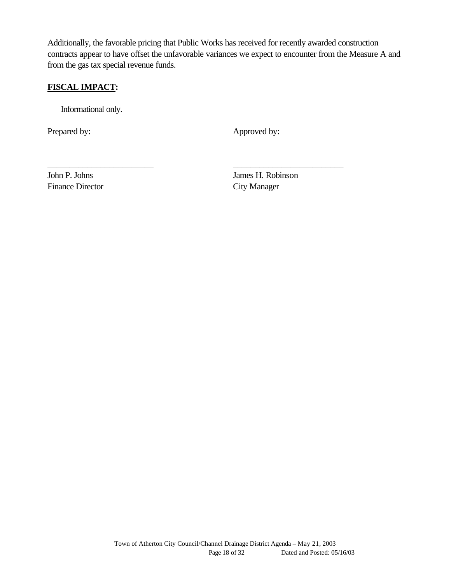Additionally, the favorable pricing that Public Works has received for recently awarded construction contracts appear to have offset the unfavorable variances we expect to encounter from the Measure A and from the gas tax special revenue funds.

\_\_\_\_\_\_\_\_\_\_\_\_\_\_\_\_\_\_\_\_\_\_\_\_ \_\_\_\_\_\_\_\_\_\_\_\_\_\_\_\_\_\_\_\_\_\_\_\_\_

## **FISCAL IMPACT:**

Informational only.

Prepared by: Approved by:

Finance Director City Manager

John P. Johns James H. Robinson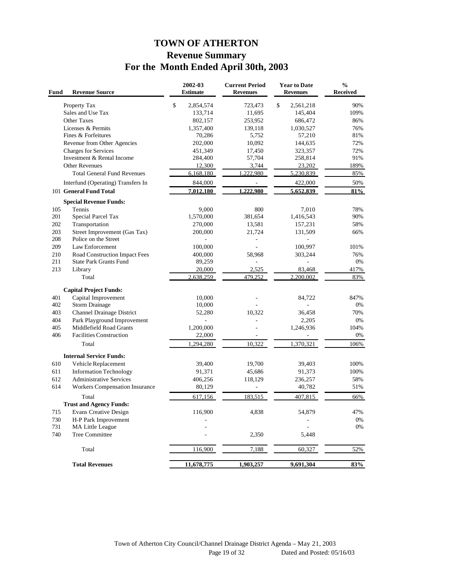# **TOWN OF ATHERTON Revenue Summary For the Month Ended April 30th, 2003**

| Fund | <b>Revenue Source</b>              | 2002-03<br><b>Estimate</b> | <b>Current Period</b><br><b>Revenues</b> | <b>Year to Date</b><br><b>Revenues</b> | $\frac{0}{0}$<br><b>Received</b> |
|------|------------------------------------|----------------------------|------------------------------------------|----------------------------------------|----------------------------------|
|      | Property Tax                       | \$<br>2,854,574            | 723,473                                  | \$<br>2,561,218                        | 90%                              |
|      | Sales and Use Tax                  | 133,714                    | 11,695                                   | 145,404                                | 109%                             |
|      | Other Taxes                        | 802,157                    | 253,952                                  | 686,472                                | 86%                              |
|      | Licenses & Permits                 | 1,357,400                  | 139,118                                  | 1,030,527                              | 76%                              |
|      | Fines & Forfeitures                | 70,286                     | 5,752                                    | 57,210                                 | 81%                              |
|      | Revenue from Other Agencies        | 202,000                    | 10,092                                   | 144,635                                | 72%                              |
|      | <b>Charges for Services</b>        | 451,349                    | 17,450                                   | 323,357                                | 72%                              |
|      | Investment & Rental Income         | 284,400                    | 57,704                                   | 258,814                                | 91%                              |
|      | <b>Other Revenues</b>              | 12,300                     | 3,744                                    | 23,202                                 | 189%                             |
|      | <b>Total General Fund Revenues</b> | 6,168,180                  | 1.222.980                                | 5,230,839                              | 85%                              |
|      | Interfund (Operating) Transfers In | 844,000                    | $\bar{a}$                                | 422,000                                | 50%                              |
|      | 101 General Fund Total             | 7,012,180                  | 1.222.980                                | 5,652,839                              | 81%                              |
|      | <b>Special Revenue Funds:</b>      |                            |                                          |                                        |                                  |
| 105  | Tennis                             | 9,000                      | 800                                      | 7,010                                  | 78%                              |
| 201  | Special Parcel Tax                 | 1,570,000                  | 381,654                                  | 1,416,543                              | 90%                              |
| 202  | Transportation                     | 270,000                    | 13,581                                   | 157,231                                | 58%                              |
| 203  | Street Improvement (Gas Tax)       | 200,000                    | 21,724                                   | 131,509                                | 66%                              |
| 208  | Police on the Street               |                            | ÷,                                       |                                        |                                  |
| 209  | Law Enforcement                    | 100,000                    |                                          | 100,997                                | 101%                             |
| 210  | Road Construction Impact Fees      | 400,000                    | 58,968                                   | 303,244                                | 76%                              |
| 211  | <b>State Park Grants Fund</b>      | 89,259                     | ä,                                       |                                        | 0%                               |
| 213  | Library                            | 20,000                     | 2,525                                    | 83,468                                 | 417%                             |
|      | Total                              | 2,638,259                  | 479,252                                  | 2,200,002                              | 83%                              |
|      | <b>Capital Project Funds:</b>      |                            |                                          |                                        |                                  |
| 401  | Capital Improvement                | 10,000                     |                                          | 84,722                                 | 847%                             |
| 402  | <b>Storm Drainage</b>              | 10,000                     |                                          |                                        | 0%                               |
| 403  | Channel Drainage District          | 52,280                     | 10,322                                   | 36,458                                 | 70%                              |
| 404  | Park Playground Improvement        |                            |                                          | 2,205                                  | 0%                               |
| 405  | Middlefield Road Grants            | 1,200,000                  |                                          | 1,246,936                              | 104%                             |
| 406  | <b>Facilities Construction</b>     | 22,000                     |                                          |                                        | 0%                               |
|      | Total                              | 1,294,280                  | 10,322                                   | 1,370,321                              | 106%                             |
|      | <b>Internal Service Funds:</b>     |                            |                                          |                                        |                                  |
| 610  | Vehicle Replacement                | 39,400                     | 19,700                                   | 39,403                                 | 100%                             |
| 611  | <b>Information Technology</b>      | 91,371                     | 45,686                                   | 91,373                                 | 100%                             |
| 612  | <b>Administrative Services</b>     | 406,256                    | 118,129                                  | 236,257                                | 58%                              |
| 614  | Workers Compensation Insurance     | 80,129                     |                                          | 40,782                                 | 51%                              |
|      | Total                              | 617,156                    | 183,515                                  | 407,815                                | 66%                              |
|      | <b>Trust and Agency Funds:</b>     |                            |                                          |                                        |                                  |
| 715  | <b>Evans Creative Design</b>       | 116,900                    | 4,838                                    | 54,879                                 | 47%                              |
| 730  | H-P Park Improvement               |                            |                                          |                                        | $0\%$                            |
| 731  | MA Little League                   |                            |                                          |                                        | 0%                               |
| 740  | Tree Committee                     |                            | 2,350                                    | 5,448                                  |                                  |
|      |                                    |                            |                                          |                                        |                                  |
|      | Total                              | 116,900                    | 7,188                                    | 60,327                                 | 52%                              |
|      | <b>Total Revenues</b>              | 11,678,775                 | 1,903,257                                | 9,691,304                              | 83%                              |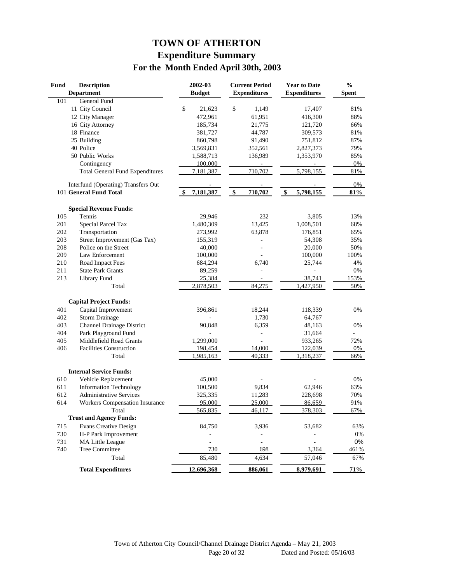# **TOWN OF ATHERTON Expenditure Summary For the Month Ended April 30th, 2003**

| <b>Fund</b> | <b>Description</b>                     | 2002-03         | <b>Current Period</b> | <b>Year to Date</b> | $\%$         |
|-------------|----------------------------------------|-----------------|-----------------------|---------------------|--------------|
|             | <b>Department</b>                      | <b>Budget</b>   | <b>Expenditures</b>   | <b>Expenditures</b> | <b>Spent</b> |
| 101         | General Fund                           |                 |                       |                     |              |
|             | 11 City Council                        | \$<br>21,623    | \$<br>1,149           | 17,407              | 81%          |
|             | 12 City Manager                        | 472,961         | 61,951                | 416,300             | 88%          |
|             | 16 City Attorney                       | 185,734         | 21,775                | 121,720             | 66%          |
|             | 18 Finance                             | 381,727         | 44,787                | 309,573             | 81%          |
|             | 25 Building                            | 860,798         | 91,490                | 751,812             | 87%          |
|             | 40 Police                              | 3,569,831       | 352,561               | 2,827,373           | 79%          |
|             | 50 Public Works                        | 1,588,713       | 136,989               | 1,353,970           | 85%          |
|             | Contingency                            | 100,000         |                       |                     | 0%           |
|             | <b>Total General Fund Expenditures</b> | 7,181,387       | 710,702               | 5,798,155           | 81%          |
|             | Interfund (Operating) Transfers Out    |                 |                       |                     | 0%           |
|             | 101 General Fund Total                 | \$<br>7,181,387 | \$<br>710,702         | \$<br>5,798,155     | 81%          |
|             | <b>Special Revenue Funds:</b>          |                 |                       |                     |              |
| 105         | Tennis                                 | 29,946          | 232                   | 3,805               | 13%          |
| 201         | Special Parcel Tax                     | 1,480,309       | 13,425                | 1,008,501           | 68%          |
| 202         | Transportation                         | 273,992         | 63,878                | 176,851             | 65%          |
| 203         | Street Improvement (Gas Tax)           | 155,319         |                       | 54,308              | 35%          |
| 208         | Police on the Street                   | 40,000          |                       | 20,000              | 50%          |
| 209         | Law Enforcement                        | 100,000         |                       | 100,000             | 100%         |
| 210         | Road Impact Fees                       | 684,294         | 6,740                 | 25,744              | 4%           |
| 211         | <b>State Park Grants</b>               | 89,259          |                       |                     | 0%           |
| 213         | Library Fund                           | 25,384          |                       | 38,741              | 153%         |
|             | Total                                  | 2,878,503       | 84,275                | 1,427,950           | 50%          |
|             | <b>Capital Project Funds:</b>          |                 |                       |                     |              |
| 401         | Capital Improvement                    | 396,861         | 18,244                | 118,339             | 0%           |
| 402         | <b>Storm Drainage</b>                  |                 | 1,730                 | 64,767              |              |
| 403         | <b>Channel Drainage District</b>       |                 | 6,359                 |                     | 0%           |
| 404         | Park Playground Fund                   | 90,848          |                       | 48,163              |              |
| 405         | Middlefield Road Grants                | 1,299,000       |                       | 31,664<br>933,265   | 72%          |
| 406         | <b>Facilities Construction</b>         | 198,454         | 14,000                | 122,039             | 0%           |
|             | Total                                  | 1,985,163       | 40,333                | 1,318,237           | 66%          |
|             |                                        |                 |                       |                     |              |
|             | <b>Internal Service Funds:</b>         |                 |                       |                     |              |
| 610         | Vehicle Replacement                    | 45,000          |                       |                     | 0%           |
| 611         | <b>Information Technology</b>          | 100,500         | 9,834                 | 62,946              | 63%          |
| 612         | <b>Administrative Services</b>         | 325,335         | 11,283                | 228,698             | 70%          |
| 614         | Workers Compensation Insurance         | 95,000          | 25,000                | 86,659              | 91%          |
|             | Total                                  | 565,835         | 46,117                | 378,303             | 67%          |
|             | <b>Trust and Agency Funds:</b>         |                 |                       |                     |              |
| 715         | <b>Evans Creative Design</b>           | 84,750          | 3,936                 | 53,682              | 63%          |
| 730         | H-P Park Improvement                   |                 |                       |                     | $0\%$        |
| 731         | <b>MA Little League</b>                |                 |                       |                     | 0%           |
| 740         | Tree Committee                         | 730             | 698                   | 3,364               | 461%         |
|             | Total                                  | 85,480          | 4,634                 | 57,046              | 67%          |
|             | <b>Total Expenditures</b>              | 12,696,368      | <u>886,061</u>        | 8,979,691           | 71%          |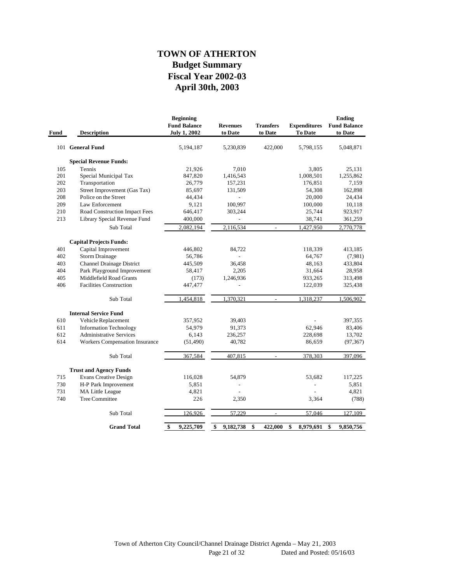## **April 30th, 2003 Fiscal Year 2002-03 Budget Summary TOWN OF ATHERTON**

| Fund | <b>Description</b>                    | <b>Beginning</b><br><b>Fund Balance</b><br><b>July 1, 2002</b> | <b>Revenues</b><br>to Date | <b>Transfers</b><br>to Date | <b>Expenditures</b><br><b>To Date</b> | <b>Ending</b><br><b>Fund Balance</b><br>to Date |
|------|---------------------------------------|----------------------------------------------------------------|----------------------------|-----------------------------|---------------------------------------|-------------------------------------------------|
|      | 101 General Fund                      | 5,194,187                                                      | 5,230,839                  | 422,000                     | 5,798,155                             | 5,048,871                                       |
|      | <b>Special Revenue Funds:</b>         |                                                                |                            |                             |                                       |                                                 |
| 105  | Tennis                                | 21,926                                                         | 7,010                      |                             | 3,805                                 | 25,131                                          |
| 201  | Special Municipal Tax                 | 847,820                                                        | 1,416,543                  |                             | 1,008,501                             | 1,255,862                                       |
| 202  | Transportation                        | 26,779                                                         | 157,231                    |                             | 176,851                               | 7,159                                           |
| 203  | Street Improvement (Gas Tax)          | 85,697                                                         | 131,509                    |                             | 54,308                                | 162,898                                         |
| 208  | Police on the Street                  | 44,434                                                         |                            |                             | 20,000                                | 24,434                                          |
| 209  | Law Enforcement                       | 9,121                                                          | 100,997                    |                             | 100,000                               | 10,118                                          |
| 210  | Road Construction Impact Fees         | 646,417                                                        | 303,244                    |                             | 25,744                                | 923,917                                         |
| 213  | Library Special Revenue Fund          | 400,000                                                        | $\frac{1}{2}$              |                             | 38,741                                | 361,259                                         |
|      | Sub Total                             | 2,082,194                                                      | 2,116,534                  |                             | 1,427,950                             | 2,770,778                                       |
|      | <b>Capital Projects Funds:</b>        |                                                                |                            |                             |                                       |                                                 |
| 401  | Capital Improvement                   | 446,802                                                        | 84,722                     |                             | 118,339                               | 413,185                                         |
| 402  | <b>Storm Drainage</b>                 | 56,786                                                         |                            |                             | 64,767                                | (7,981)                                         |
| 403  | <b>Channel Drainage District</b>      | 445,509                                                        | 36,458                     |                             | 48,163                                | 433,804                                         |
| 404  | Park Playground Improvement           | 58,417                                                         | 2,205                      |                             | 31,664                                | 28,958                                          |
| 405  | Middlefield Road Grants               | (173)                                                          | 1,246,936                  |                             | 933,265                               | 313,498                                         |
| 406  | <b>Facilities Construction</b>        | 447,477                                                        | $\overline{\phantom{0}}$   |                             | 122,039                               | 325,438                                         |
|      | Sub Total                             | 1,454,818                                                      | 1,370,321                  | $\overline{\phantom{a}}$    | 1,318,237                             | 1,506,902                                       |
|      | <b>Internal Service Fund</b>          |                                                                |                            |                             |                                       |                                                 |
| 610  | Vehicle Replacement                   | 357,952                                                        | 39,403                     |                             |                                       | 397,355                                         |
| 611  | <b>Information Technology</b>         | 54,979                                                         | 91,373                     |                             | 62,946                                | 83,406                                          |
| 612  | <b>Administrative Services</b>        | 6,143                                                          | 236,257                    |                             | 228,698                               | 13,702                                          |
| 614  | <b>Workers Compensation Insurance</b> | (51, 490)                                                      | 40,782                     |                             | 86,659                                | (97, 367)                                       |
|      | Sub Total                             | 367,584                                                        | 407,815                    | $\overline{a}$              | 378,303                               | 397,096                                         |
|      | <b>Trust and Agency Funds</b>         |                                                                |                            |                             |                                       |                                                 |
| 715  | <b>Evans Creative Design</b>          | 116,028                                                        | 54,879                     |                             | 53,682                                | 117,225                                         |
| 730  | H-P Park Improvement                  | 5,851                                                          |                            |                             |                                       | 5,851                                           |
| 731  | MA Little League                      | 4,821                                                          |                            |                             |                                       | 4,821                                           |
| 740  | <b>Tree Committee</b>                 | 226                                                            | 2,350                      |                             | 3,364                                 | (788)                                           |
|      | Sub Total                             | 126,926                                                        | 57,229                     | $\overline{a}$              | 57,046                                | 127,109                                         |
|      | <b>Grand Total</b>                    | 9,225,709<br>\$                                                | \$<br>9,182,738            | \$<br>422,000               | \$<br>8,979,691                       | \$<br>9,850,756                                 |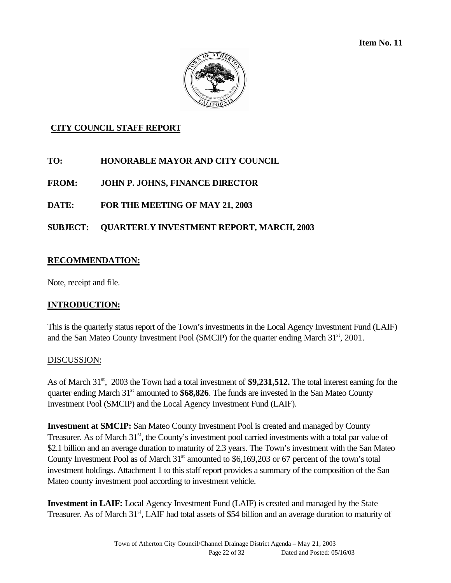**Item No. 11** 



## **CITY COUNCIL STAFF REPORT**

## **TO: HONORABLE MAYOR AND CITY COUNCIL**

**FROM: JOHN P. JOHNS, FINANCE DIRECTOR**

## **DATE: FOR THE MEETING OF MAY 21, 2003**

## **SUBJECT: QUARTERLY INVESTMENT REPORT, MARCH, 2003**

#### **RECOMMENDATION:**

Note, receipt and file.

#### **INTRODUCTION:**

This is the quarterly status report of the Town's investments in the Local Agency Investment Fund (LAIF) and the San Mateo County Investment Pool (SMCIP) for the quarter ending March  $31<sup>st</sup>$ , 2001.

#### DISCUSSION:

As of March 31<sup>st</sup>, 2003 the Town had a total investment of **\$9,231,512.** The total interest earning for the quarter ending March 31<sup>st</sup> amounted to \$68,826. The funds are invested in the San Mateo County Investment Pool (SMCIP) and the Local Agency Investment Fund (LAIF).

**Investment at SMCIP:** San Mateo County Investment Pool is created and managed by County Treasurer. As of March 31<sup>st</sup>, the County's investment pool carried investments with a total par value of \$2.1 billion and an average duration to maturity of 2.3 years. The Town's investment with the San Mateo County Investment Pool as of March  $31<sup>st</sup>$  amounted to \$6,169,203 or 67 percent of the town's total investment holdings. Attachment 1 to this staff report provides a summary of the composition of the San Mateo county investment pool according to investment vehicle.

**Investment in LAIF:** Local Agency Investment Fund (LAIF) is created and managed by the State Treasurer. As of March 31<sup>st</sup>, LAIF had total assets of \$54 billion and an average duration to maturity of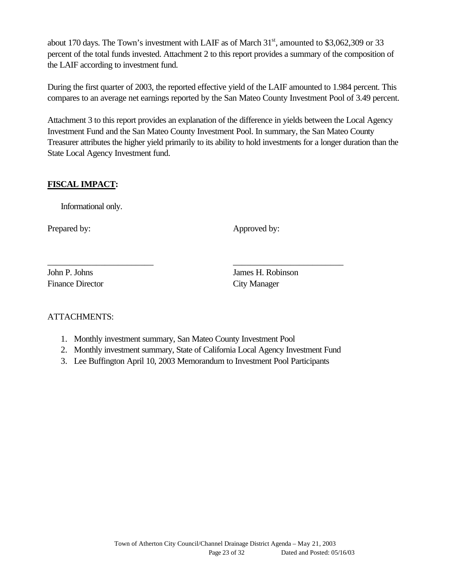about 170 days. The Town's investment with LAIF as of March  $31<sup>st</sup>$ , amounted to \$3,062,309 or 33 percent of the total funds invested. Attachment 2 to this report provides a summary of the composition of the LAIF according to investment fund.

During the first quarter of 2003, the reported effective yield of the LAIF amounted to 1.984 percent. This compares to an average net earnings reported by the San Mateo County Investment Pool of 3.49 percent.

Attachment 3 to this report provides an explanation of the difference in yields between the Local Agency Investment Fund and the San Mateo County Investment Pool. In summary, the San Mateo County Treasurer attributes the higher yield primarily to its ability to hold investments for a longer duration than the State Local Agency Investment fund.

## **FISCAL IMPACT:**

Informational only.

Prepared by: Approved by: Approved by:

Finance Director City Manager

John P. Johns James H. Robinson

## ATTACHMENTS:

- 1. Monthly investment summary, San Mateo County Investment Pool
- 2. Monthly investment summary, State of California Local Agency Investment Fund
- 3. Lee Buffington April 10, 2003 Memorandum to Investment Pool Participants

\_\_\_\_\_\_\_\_\_\_\_\_\_\_\_\_\_\_\_\_\_\_\_\_ \_\_\_\_\_\_\_\_\_\_\_\_\_\_\_\_\_\_\_\_\_\_\_\_\_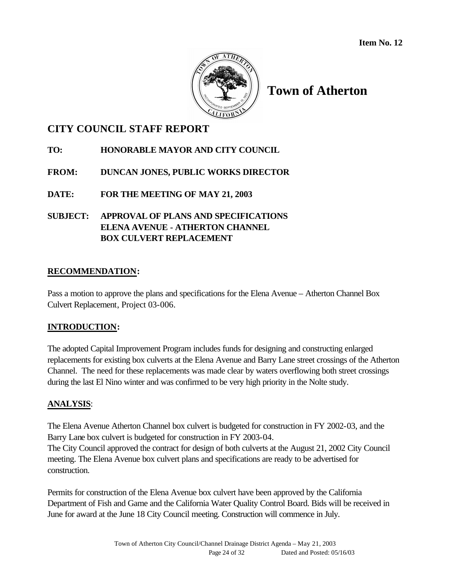

# **Town of Atherton**

# **CITY COUNCIL STAFF REPORT**

## **TO: HONORABLE MAYOR AND CITY COUNCIL**

## **FROM: DUNCAN JONES, PUBLIC WORKS DIRECTOR**

**DATE: FOR THE MEETING OF MAY 21, 2003**

## **SUBJECT: APPROVAL OF PLANS AND SPECIFICATIONS ELENA AVENUE - ATHERTON CHANNEL BOX CULVERT REPLACEMENT**

#### **RECOMMENDATION:**

Pass a motion to approve the plans and specifications for the Elena Avenue – Atherton Channel Box Culvert Replacement, Project 03-006.

#### **INTRODUCTION:**

The adopted Capital Improvement Program includes funds for designing and constructing enlarged replacements for existing box culverts at the Elena Avenue and Barry Lane street crossings of the Atherton Channel. The need for these replacements was made clear by waters overflowing both street crossings during the last El Nino winter and was confirmed to be very high priority in the Nolte study.

## **ANALYSIS**:

The Elena Avenue Atherton Channel box culvert is budgeted for construction in FY 2002-03, and the Barry Lane box culvert is budgeted for construction in FY 2003-04.

The City Council approved the contract for design of both culverts at the August 21, 2002 City Council meeting. The Elena Avenue box culvert plans and specifications are ready to be advertised for construction.

Permits for construction of the Elena Avenue box culvert have been approved by the California Department of Fish and Game and the California Water Quality Control Board. Bids will be received in June for award at the June 18 City Council meeting. Construction will commence in July.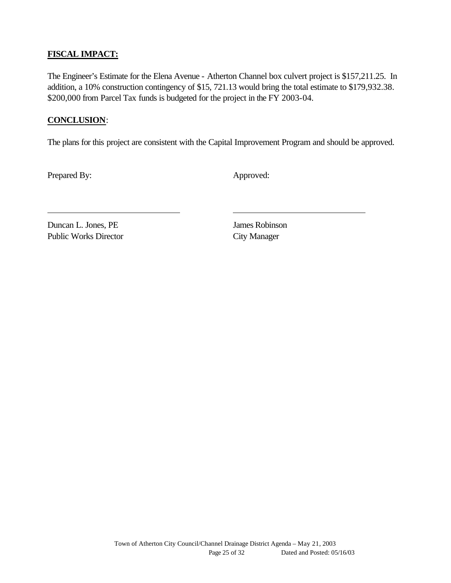## **FISCAL IMPACT:**

The Engineer's Estimate for the Elena Avenue - Atherton Channel box culvert project is \$157,211.25. In addition, a 10% construction contingency of \$15, 721.13 would bring the total estimate to \$179,932.38. \$200,000 from Parcel Tax funds is budgeted for the project in the FY 2003-04.

#### **CONCLUSION**:

The plans for this project are consistent with the Capital Improvement Program and should be approved.

Prepared By: Approved:

Duncan L. Jones, PE James Robinson Public Works Director City Manager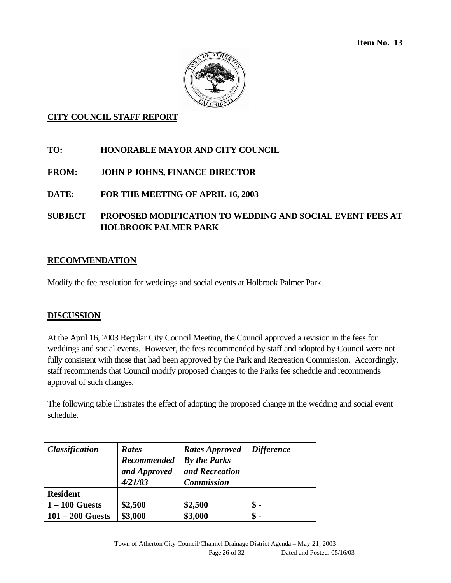**Item No. 13** 



#### **CITY COUNCIL STAFF REPORT**

- **TO: HONORABLE MAYOR AND CITY COUNCIL**
- **FROM: JOHN P JOHNS, FINANCE DIRECTOR**
- **DATE: FOR THE MEETING OF APRIL 16, 2003**
- **SUBJECT PROPOSED MODIFICATION TO WEDDING AND SOCIAL EVENT FEES AT HOLBROOK PALMER PARK**

#### **RECOMMENDATION**

Modify the fee resolution for weddings and social events at Holbrook Palmer Park.

#### **DISCUSSION**

At the April 16, 2003 Regular City Council Meeting, the Council approved a revision in the fees for weddings and social events. However, the fees recommended by staff and adopted by Council were not fully consistent with those that had been approved by the Park and Recreation Commission. Accordingly, staff recommends that Council modify proposed changes to the Parks fee schedule and recommends approval of such changes.

The following table illustrates the effect of adopting the proposed change in the wedding and social event schedule.

| <b>Classification</b> | Rates<br>Recommended<br>and Approved<br>4/21/03 | Rates Approved Difference<br><b>By the Parks</b><br>and Recreation<br><b>Commission</b> |               |
|-----------------------|-------------------------------------------------|-----------------------------------------------------------------------------------------|---------------|
| <b>Resident</b>       |                                                 |                                                                                         |               |
| $1 - 100$ Guests      | \$2,500                                         | \$2,500                                                                                 | $\mathbf s$ - |
| $101 - 200$ Guests    | \$3,000                                         | \$3,000                                                                                 | \$ -          |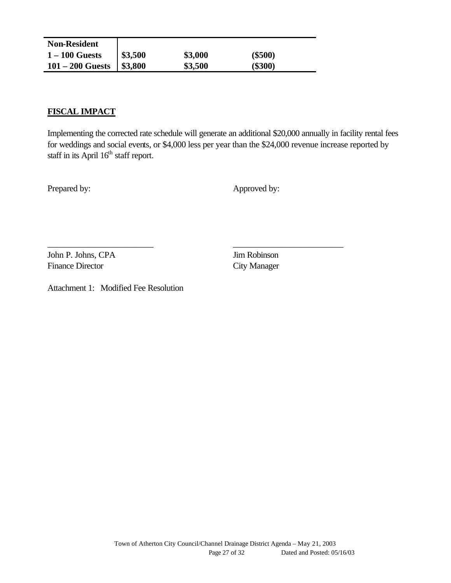| <b>Non-Resident</b> |         |         |           |  |
|---------------------|---------|---------|-----------|--|
| $1 - 100$ Guests    | \$3,500 | \$3,000 | $(\$500)$ |  |
| $101 - 200$ Guests  | \$3,800 | \$3,500 | $(\$300)$ |  |

#### **FISCAL IMPACT**

Implementing the corrected rate schedule will generate an additional \$20,000 annually in facility rental fees for weddings and social events, or \$4,000 less per year than the \$24,000 revenue increase reported by staff in its April  $16<sup>th</sup>$  staff report.

\_\_\_\_\_\_\_\_\_\_\_\_\_\_\_\_\_\_\_\_\_\_\_\_ \_\_\_\_\_\_\_\_\_\_\_\_\_\_\_\_\_\_\_\_\_\_\_\_\_

Prepared by: Approved by:

John P. Johns, CPA Jim Robinson Finance Director City Manager

Attachment 1: Modified Fee Resolution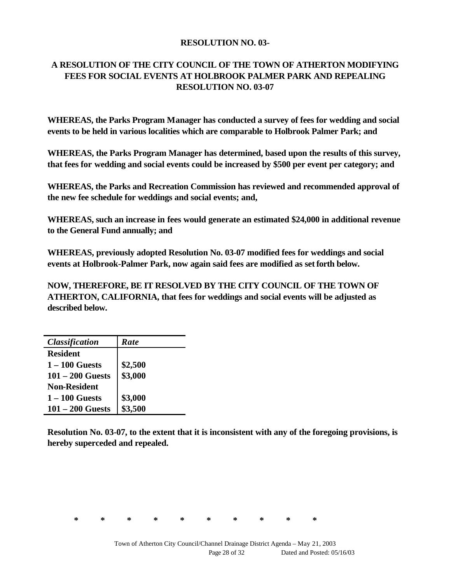#### **RESOLUTION NO. 03-**

## **A RESOLUTION OF THE CITY COUNCIL OF THE TOWN OF ATHERTON MODIFYING FEES FOR SOCIAL EVENTS AT HOLBROOK PALMER PARK AND REPEALING RESOLUTION NO. 03-07**

**WHEREAS, the Parks Program Manager has conducted a survey of fees for wedding and social events to be held in various localities which are comparable to Holbrook Palmer Park; and**

**WHEREAS, the Parks Program Manager has determined, based upon the results of this survey, that fees for wedding and social events could be increased by \$500 per event per category; and**

**WHEREAS, the Parks and Recreation Commission has reviewed and recommended approval of the new fee schedule for weddings and social events; and,**

**WHEREAS, such an increase in fees would generate an estimated \$24,000 in additional revenue to the General Fund annually; and**

**WHEREAS, previously adopted Resolution No. 03-07 modified fees for weddings and social events at Holbrook-Palmer Park, now again said fees are modified as set forth below.** 

**NOW, THEREFORE, BE IT RESOLVED BY THE CITY COUNCIL OF THE TOWN OF ATHERTON, CALIFORNIA, that fees for weddings and social events will be adjusted as described below.**

| <b>Classification</b> | <b>Rate</b> |
|-----------------------|-------------|
| <b>Resident</b>       |             |
| $1 - 100$ Guests      | \$2,500     |
| $101 - 200$ Guests    | \$3,000     |
| <b>Non-Resident</b>   |             |
| $1 - 100$ Guests      | \$3,000     |
| $101 - 200$ Guests    | \$3,500     |

**Resolution No. 03-07, to the extent that it is inconsistent with any of the foregoing provisions, is hereby superceded and repealed.**

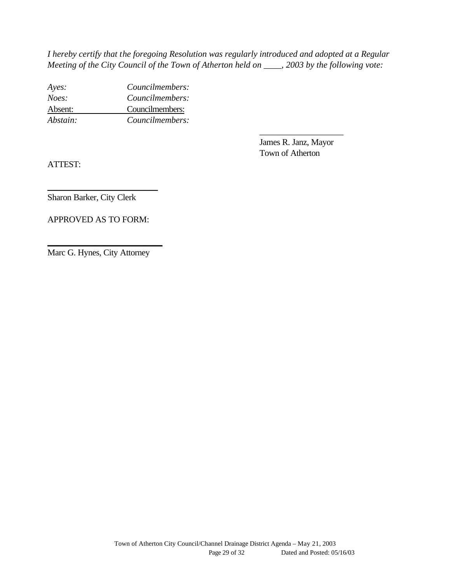*I hereby certify that the foregoing Resolution was regularly introduced and adopted at a Regular Meeting of the City Council of the Town of Atherton held on \_\_\_\_, 2003 by the following vote:*

*Ayes: Councilmembers: Noes: Councilmembers:* Absent: Councilmembers: *Abstain: Councilmembers:*

> James R. Janz, Mayor Town of Atherton

\_\_\_\_\_\_\_\_\_\_\_\_\_\_\_\_\_\_\_

ATTEST:

Sharon Barker, City Clerk

APPROVED AS TO FORM:

\_\_\_\_\_\_\_\_\_\_\_\_\_\_\_\_\_\_\_\_\_\_\_\_\_

Marc G. Hynes, City Attorney

\_\_\_\_\_\_\_\_\_\_\_\_\_\_\_\_\_\_\_\_\_\_\_\_\_\_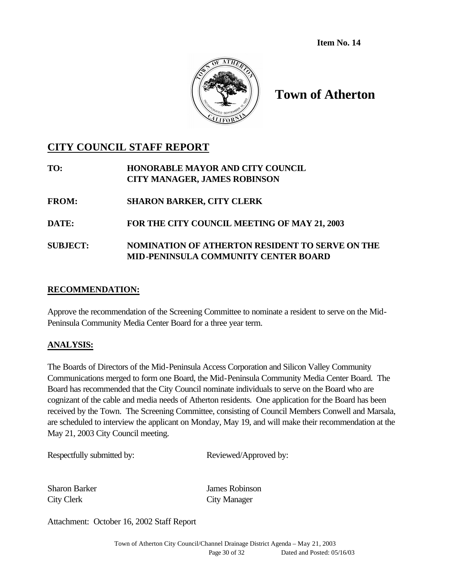**Item No. 14**



# **Town of Atherton**

# **CITY COUNCIL STAFF REPORT**

| TO:             | HONORABLE MAYOR AND CITY COUNCIL<br><b>CITY MANAGER, JAMES ROBINSON</b> |
|-----------------|-------------------------------------------------------------------------|
| <b>FROM:</b>    | <b>SHARON BARKER, CITY CLERK</b>                                        |
| <b>DATE:</b>    | FOR THE CITY COUNCIL MEETING OF MAY 21, 2003                            |
| <b>SUBJECT:</b> | NOMINATION OF ATHERTON RESIDENT TO SERVE ON THE                         |

## **RECOMMENDATION:**

Approve the recommendation of the Screening Committee to nominate a resident to serve on the Mid-Peninsula Community Media Center Board for a three year term.

**MID-PENINSULA COMMUNITY CENTER BOARD**

## **ANALYSIS:**

The Boards of Directors of the Mid-Peninsula Access Corporation and Silicon Valley Community Communications merged to form one Board, the Mid-Peninsula Community Media Center Board. The Board has recommended that the City Council nominate individuals to serve on the Board who are cognizant of the cable and media needs of Atherton residents. One application for the Board has been received by the Town. The Screening Committee, consisting of Council Members Conwell and Marsala, are scheduled to interview the applicant on Monday, May 19, and will make their recommendation at the May 21, 2003 City Council meeting.

Reviewed/Approved by:

City Clerk City Manager

Sharon Barker James Robinson

Attachment: October 16, 2002 Staff Report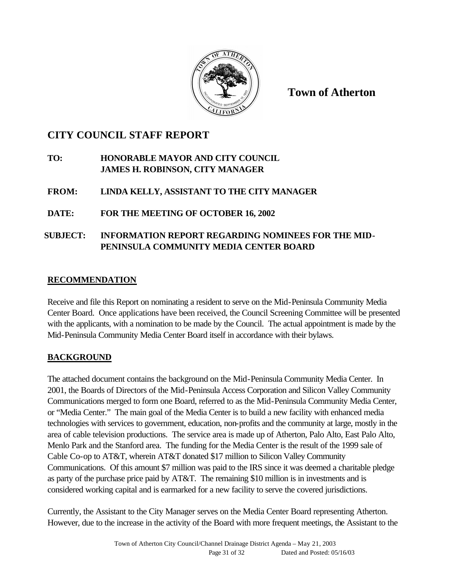

**Town of Atherton**

# **CITY COUNCIL STAFF REPORT**

## **TO: HONORABLE MAYOR AND CITY COUNCIL JAMES H. ROBINSON, CITY MANAGER**

## **FROM: LINDA KELLY, ASSISTANT TO THE CITY MANAGER**

## **DATE: FOR THE MEETING OF OCTOBER 16, 2002**

## **SUBJECT: INFORMATION REPORT REGARDING NOMINEES FOR THE MID-PENINSULA COMMUNITY MEDIA CENTER BOARD**

## **RECOMMENDATION**

Receive and file this Report on nominating a resident to serve on the Mid-Peninsula Community Media Center Board. Once applications have been received, the Council Screening Committee will be presented with the applicants, with a nomination to be made by the Council. The actual appointment is made by the Mid-Peninsula Community Media Center Board itself in accordance with their bylaws.

## **BACKGROUND**

The attached document contains the background on the Mid-Peninsula Community Media Center. In 2001, the Boards of Directors of the Mid-Peninsula Access Corporation and Silicon Valley Community Communications merged to form one Board, referred to as the Mid-Peninsula Community Media Center, or "Media Center." The main goal of the Media Center is to build a new facility with enhanced media technologies with services to government, education, non-profits and the community at large, mostly in the area of cable television productions. The service area is made up of Atherton, Palo Alto, East Palo Alto, Menlo Park and the Stanford area. The funding for the Media Center is the result of the 1999 sale of Cable Co-op to AT&T, wherein AT&T donated \$17 million to Silicon Valley Community Communications. Of this amount \$7 million was paid to the IRS since it was deemed a charitable pledge as party of the purchase price paid by AT&T. The remaining \$10 million is in investments and is considered working capital and is earmarked for a new facility to serve the covered jurisdictions.

Currently, the Assistant to the City Manager serves on the Media Center Board representing Atherton. However, due to the increase in the activity of the Board with more frequent meetings, the Assistant to the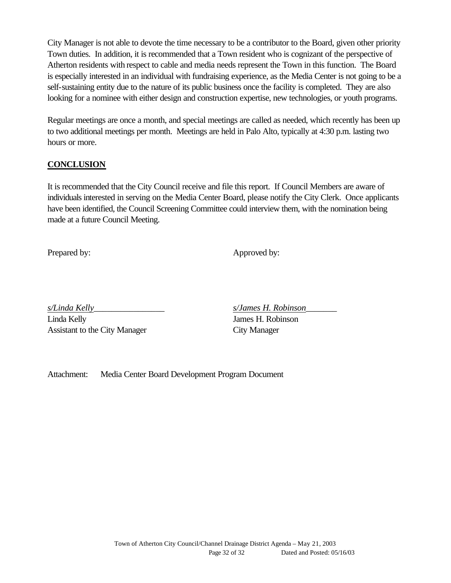City Manager is not able to devote the time necessary to be a contributor to the Board, given other priority Town duties. In addition, it is recommended that a Town resident who is cognizant of the perspective of Atherton residents with respect to cable and media needs represent the Town in this function. The Board is especially interested in an individual with fundraising experience, as the Media Center is not going to be a self-sustaining entity due to the nature of its public business once the facility is completed. They are also looking for a nominee with either design and construction expertise, new technologies, or youth programs.

Regular meetings are once a month, and special meetings are called as needed, which recently has been up to two additional meetings per month. Meetings are held in Palo Alto, typically at 4:30 p.m. lasting two hours or more.

## **CONCLUSION**

It is recommended that the City Council receive and file this report. If Council Members are aware of individuals interested in serving on the Media Center Board, please notify the City Clerk. Once applicants have been identified, the Council Screening Committee could interview them, with the nomination being made at a future Council Meeting.

Prepared by: Approved by:

Linda Kelly James H. Robinson Assistant to the City Manager City Manager

*s/Linda Kelly*\_\_\_\_\_\_\_\_\_\_\_\_\_\_\_\_ *s/James H. Robinson*\_\_\_\_\_\_\_

Attachment: Media Center Board Development Program Document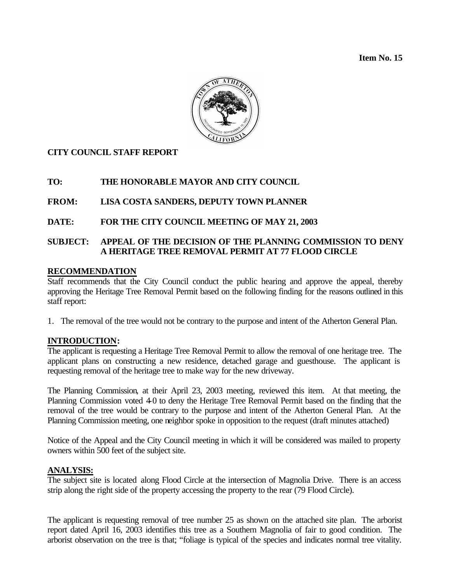**Item No. 15**



#### **CITY COUNCIL STAFF REPORT**

#### **TO: THE HONORABLE MAYOR AND CITY COUNCIL**

#### **FROM: LISA COSTA SANDERS, DEPUTY TOWN PLANNER**

#### **DATE: FOR THE CITY COUNCIL MEETING OF MAY 21, 2003**

#### **SUBJECT: APPEAL OF THE DECISION OF THE PLANNING COMMISSION TO DENY A HERITAGE TREE REMOVAL PERMIT AT 77 FLOOD CIRCLE**

#### **RECOMMENDATION**

Staff recommends that the City Council conduct the public hearing and approve the appeal, thereby approving the Heritage Tree Removal Permit based on the following finding for the reasons outlined in this staff report:

1. The removal of the tree would not be contrary to the purpose and intent of the Atherton General Plan.

#### **INTRODUCTION:**

The applicant is requesting a Heritage Tree Removal Permit to allow the removal of one heritage tree. The applicant plans on constructing a new residence, detached garage and guesthouse. The applicant is requesting removal of the heritage tree to make way for the new driveway.

The Planning Commission, at their April 23, 2003 meeting, reviewed this item. At that meeting, the Planning Commission voted 40 to deny the Heritage Tree Removal Permit based on the finding that the removal of the tree would be contrary to the purpose and intent of the Atherton General Plan. At the Planning Commission meeting, one neighbor spoke in opposition to the request (draft minutes attached)

Notice of the Appeal and the City Council meeting in which it will be considered was mailed to property owners within 500 feet of the subject site.

#### **ANALYSIS:**

The subject site is located along Flood Circle at the intersection of Magnolia Drive. There is an access strip along the right side of the property accessing the property to the rear (79 Flood Circle).

The applicant is requesting removal of tree number 25 as shown on the attached site plan. The arborist report dated April 16, 2003 identifies this tree as a Southern Magnolia of fair to good condition. The arborist observation on the tree is that; "foliage is typical of the species and indicates normal tree vitality.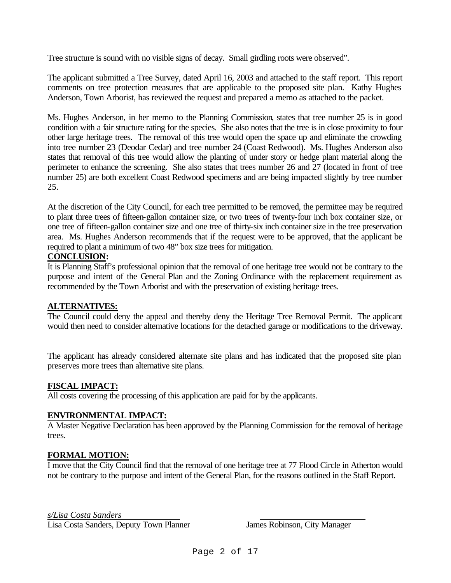Tree structure is sound with no visible signs of decay. Small girdling roots were observed".

The applicant submitted a Tree Survey, dated April 16, 2003 and attached to the staff report. This report comments on tree protection measures that are applicable to the proposed site plan. Kathy Hughes Anderson, Town Arborist, has reviewed the request and prepared a memo as attached to the packet.

Ms. Hughes Anderson, in her memo to the Planning Commission, states that tree number 25 is in good condition with a fair structure rating for the species. She also notes that the tree is in close proximity to four other large heritage trees. The removal of this tree would open the space up and eliminate the crowding into tree number 23 (Deodar Cedar) and tree number 24 (Coast Redwood). Ms. Hughes Anderson also states that removal of this tree would allow the planting of under story or hedge plant material along the perimeter to enhance the screening. She also states that trees number 26 and 27 (located in front of tree number 25) are both excellent Coast Redwood specimens and are being impacted slightly by tree number 25.

At the discretion of the City Council, for each tree permitted to be removed, the permittee may be required to plant three trees of fifteen-gallon container size, or two trees of twenty-four inch box container size, or one tree of fifteen-gallon container size and one tree of thirty-six inch container size in the tree preservation area. Ms. Hughes Anderson recommends that if the request were to be approved, that the applicant be required to plant a minimum of two 48" box size trees for mitigation.

#### **CONCLUSION:**

It is Planning Staff's professional opinion that the removal of one heritage tree would not be contrary to the purpose and intent of the General Plan and the Zoning Ordinance with the replacement requirement as recommended by the Town Arborist and with the preservation of existing heritage trees.

#### **ALTERNATIVES:**

The Council could deny the appeal and thereby deny the Heritage Tree Removal Permit. The applicant would then need to consider alternative locations for the detached garage or modifications to the driveway.

The applicant has already considered alternate site plans and has indicated that the proposed site plan preserves more trees than alternative site plans.

#### **FISCAL IMPACT:**

All costs covering the processing of this application are paid for by the applicants.

#### **ENVIRONMENTAL IMPACT:**

A Master Negative Declaration has been approved by the Planning Commission for the removal of heritage trees.

#### **FORMAL MOTION:**

I move that the City Council find that the removal of one heritage tree at 77 Flood Circle in Atherton would not be contrary to the purpose and intent of the General Plan, for the reasons outlined in the Staff Report.

#### *s/Lisa Costa Sanders*

Lisa Costa Sanders, Deputy Town Planner James Robinson, City Manager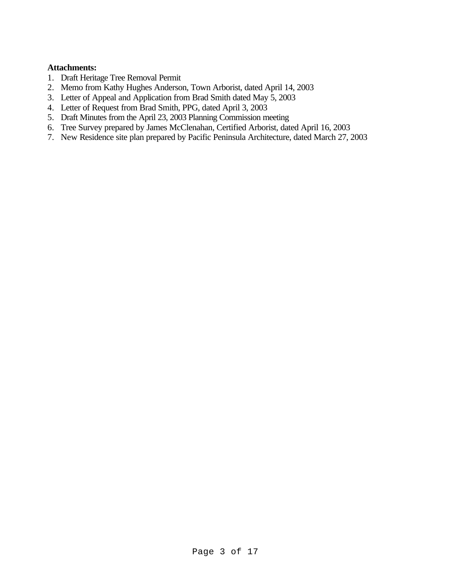#### **Attachments:**

- 1. Draft Heritage Tree Removal Permit
- 2. Memo from Kathy Hughes Anderson, Town Arborist, dated April 14, 2003
- 3. Letter of Appeal and Application from Brad Smith dated May 5, 2003
- 4. Letter of Request from Brad Smith, PPG, dated April 3, 2003
- 5. Draft Minutes from the April 23, 2003 Planning Commission meeting
- 6. Tree Survey prepared by James McClenahan, Certified Arborist, dated April 16, 2003
- 7. New Residence site plan prepared by Pacific Peninsula Architecture, dated March 27, 2003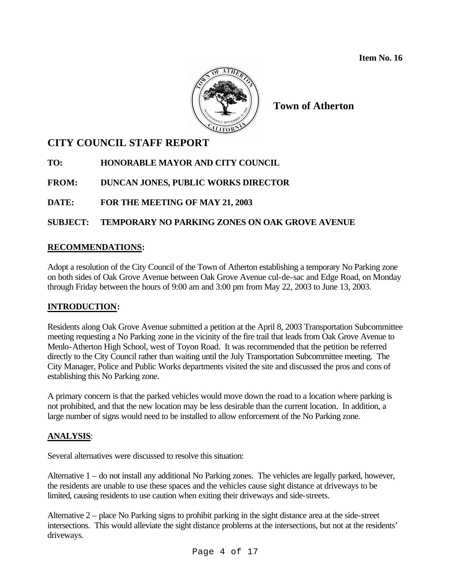

**Town of Atherton**

# **CITY COUNCIL STAFF REPORT**

**TO: HONORABLE MAYOR AND CITY COUNCIL**

**FROM: DUNCAN JONES, PUBLIC WORKS DIRECTOR**

**DATE: FOR THE MEETING OF MAY 21, 2003**

## **SUBJECT: TEMPORARY NO PARKING ZONES ON OAK GROVE AVENUE**

## **RECOMMENDATIONS:**

Adopt a resolution of the City Council of the Town of Atherton establishing a temporary No Parking zone on both sides of Oak Grove Avenue between Oak Grove Avenue cul-de-sac and Edge Road, on Monday through Friday between the hours of 9:00 am and 3:00 pm from May 22, 2003 to June 13, 2003.

#### **INTRODUCTION:**

Residents along Oak Grove Avenue submitted a petition at the April 8, 2003 Transportation Subcommittee meeting requesting a No Parking zone in the vicinity of the fire trail that leads from Oak Grove Avenue to Menlo-Atherton High School, west of Toyon Road. It was recommended that the petition be referred directly to the City Council rather than waiting until the July Transportation Subcommittee meeting. The City Manager, Police and Public Works departments visited the site and discussed the pros and cons of establishing this No Parking zone.

A primary concern is that the parked vehicles would move down the road to a location where parking is not prohibited, and that the new location may be less desirable than the current location. In addition, a large number of signs would need to be installed to allow enforcement of the No Parking zone.

#### **ANALYSIS**:

Several alternatives were discussed to resolve this situation:

Alternative 1 – do not install any additional No Parking zones. The vehicles are legally parked, however, the residents are unable to use these spaces and the vehicles cause sight distance at driveways to be limited, causing residents to use caution when exiting their driveways and side-streets.

Alternative 2 – place No Parking signs to prohibit parking in the sight distance area at the side-street intersections. This would alleviate the sight distance problems at the intersections, but not at the residents' driveways.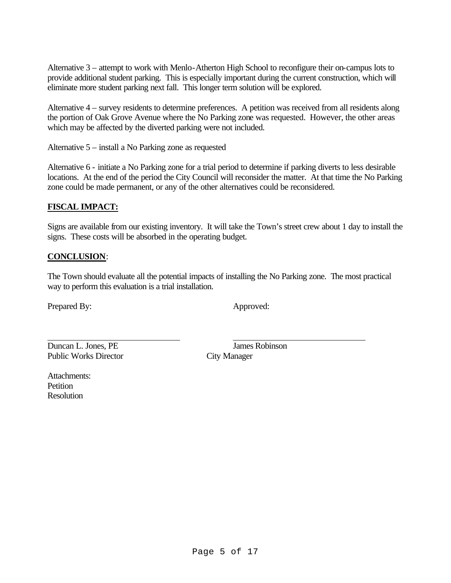Alternative 3 – attempt to work with Menlo-Atherton High School to reconfigure their on-campus lots to provide additional student parking. This is especially important during the current construction, which will eliminate more student parking next fall. This longer term solution will be explored.

Alternative 4 – survey residents to determine preferences. A petition was received from all residents along the portion of Oak Grove Avenue where the No Parking zone was requested. However, the other areas which may be affected by the diverted parking were not included.

Alternative 5 – install a No Parking zone as requested

Alternative 6 - initiate a No Parking zone for a trial period to determine if parking diverts to less desirable locations. At the end of the period the City Council will reconsider the matter. At that time the No Parking zone could be made permanent, or any of the other alternatives could be reconsidered.

#### **FISCAL IMPACT:**

Signs are available from our existing inventory. It will take the Town's street crew about 1 day to install the signs. These costs will be absorbed in the operating budget.

#### **CONCLUSION**:

The Town should evaluate all the potential impacts of installing the No Parking zone. The most practical way to perform this evaluation is a trial installation.

Prepared By: Approved:

**Duncan L. Jones, PE** James Robinson Public Works Director City Manager

Attachments: **Petition** Resolution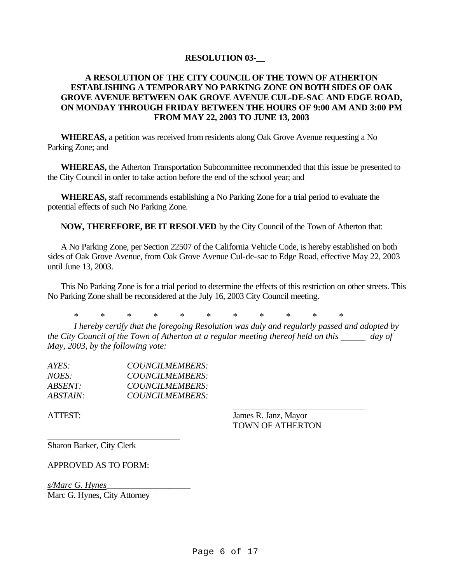#### **RESOLUTION 03-\_\_**

#### **A RESOLUTION OF THE CITY COUNCIL OF THE TOWN OF ATHERTON ESTABLISHING A TEMPORARY NO PARKING ZONE ON BOTH SIDES OF OAK GROVE AVENUE BETWEEN OAK GROVE AVENUE CUL-DE-SAC AND EDGE ROAD, ON MONDAY THROUGH FRIDAY BETWEEN THE HOURS OF 9:00 AM AND 3:00 PM FROM MAY 22, 2003 TO JUNE 13, 2003**

**WHEREAS,** a petition was received from residents along Oak Grove Avenue requesting a No Parking Zone; and

**WHEREAS,** the Atherton Transportation Subcommittee recommended that this issue be presented to the City Council in order to take action before the end of the school year; and

**WHEREAS,** staff recommends establishing a No Parking Zone for a trial period to evaluate the potential effects of such No Parking Zone.

**NOW, THEREFORE, BE IT RESOLVED** by the City Council of the Town of Atherton that:

A No Parking Zone, per Section 22507 of the California Vehicle Code, is hereby established on both sides of Oak Grove Avenue, from Oak Grove Avenue Cul-de-sac to Edge Road, effective May 22, 2003 until June 13, 2003.

This No Parking Zone is for a trial period to determine the effects of this restriction on other streets. This No Parking Zone shall be reconsidered at the July 16, 2003 City Council meeting.

\* \* \* \* \* \* \* \* \* \* \*

*I hereby certify that the foregoing Resolution was duly and regularly passed and adopted by the City Council of the Town of Atherton at a regular meeting thereof held on this day of May, 2003, by the following vote:*

| $AYES^+$               | COUNCILMEMBERS: |
|------------------------|-----------------|
| NOES:                  | COUNCILMEMBERS: |
| <i>ABSENT:</i>         | COUNCILMEMBERS: |
| <i><b>ABSTAIN:</b></i> | COUNCILMEMBERS: |

ATTEST: James R. Janz, Mayor TOWN OF ATHERTON

Sharon Barker, City Clerk

APPROVED AS TO FORM:

*s/Marc G. Hynes*\_\_\_\_\_\_\_\_\_\_\_\_\_\_\_\_\_\_\_ Marc G. Hynes, City Attorney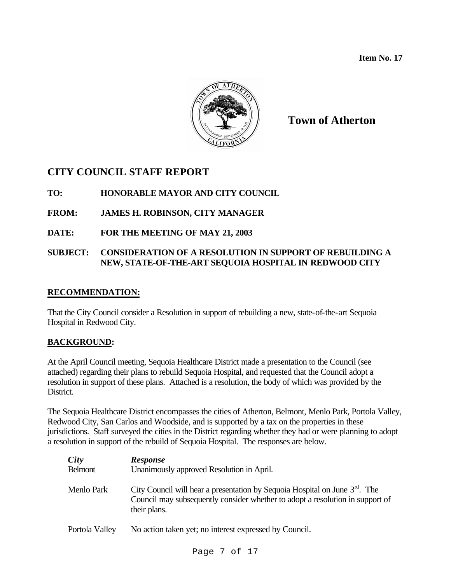**Item No. 17**



**Town of Atherton**

## **CITY COUNCIL STAFF REPORT**

## **TO: HONORABLE MAYOR AND CITY COUNCIL**

## **FROM: JAMES H. ROBINSON, CITY MANAGER**

## **DATE: FOR THE MEETING OF MAY 21, 2003**

#### **SUBJECT: CONSIDERATION OF A RESOLUTION IN SUPPORT OF REBUILDING A NEW, STATE-OF-THE-ART SEQUOIA HOSPITAL IN REDWOOD CITY**

#### **RECOMMENDATION:**

That the City Council consider a Resolution in support of rebuilding a new, state-of-the-art Sequoia Hospital in Redwood City.

#### **BACKGROUND:**

At the April Council meeting, Sequoia Healthcare District made a presentation to the Council (see attached) regarding their plans to rebuild Sequoia Hospital, and requested that the Council adopt a resolution in support of these plans. Attached is a resolution, the body of which was provided by the District.

The Sequoia Healthcare District encompasses the cities of Atherton, Belmont, Menlo Park, Portola Valley, Redwood City, San Carlos and Woodside, and is supported by a tax on the properties in these jurisdictions. Staff surveyed the cities in the District regarding whether they had or were planning to adopt a resolution in support of the rebuild of Sequoia Hospital. The responses are below.

| City<br><b>Belmont</b> | <b>Response</b><br>Unanimously approved Resolution in April.                                                                                                                      |
|------------------------|-----------------------------------------------------------------------------------------------------------------------------------------------------------------------------------|
| Menlo Park             | City Council will hear a presentation by Sequoia Hospital on June $3^{rd}$ . The<br>Council may subsequently consider whether to adopt a resolution in support of<br>their plans. |
| Portola Valley         | No action taken yet; no interest expressed by Council.                                                                                                                            |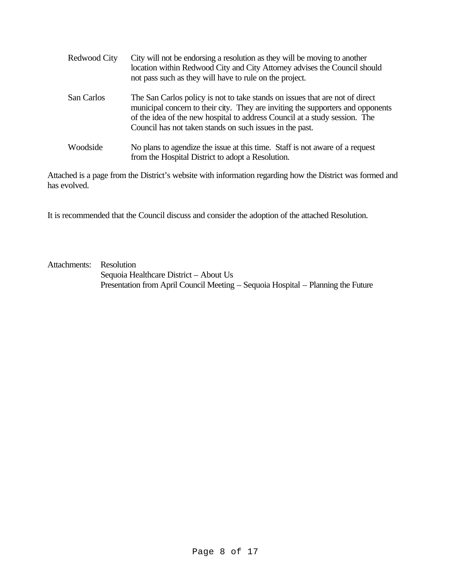| Redwood City | City will not be endorsing a resolution as they will be moving to another<br>location within Redwood City and City Attorney advises the Council should<br>not pass such as they will have to rule on the project.                                                                                         |  |
|--------------|-----------------------------------------------------------------------------------------------------------------------------------------------------------------------------------------------------------------------------------------------------------------------------------------------------------|--|
| San Carlos   | The San Carlos policy is not to take stands on issues that are not of direct<br>municipal concern to their city. They are inviting the supporters and opponents<br>of the idea of the new hospital to address Council at a study session. The<br>Council has not taken stands on such issues in the past. |  |
| Woodside     | No plans to agendize the issue at this time. Staff is not aware of a request<br>from the Hospital District to adopt a Resolution.                                                                                                                                                                         |  |

Attached is a page from the District's website with information regarding how the District was formed and has evolved.

It is recommended that the Council discuss and consider the adoption of the attached Resolution.

Attachments: Resolution Sequoia Healthcare District – About Us Presentation from April Council Meeting – Sequoia Hospital – Planning the Future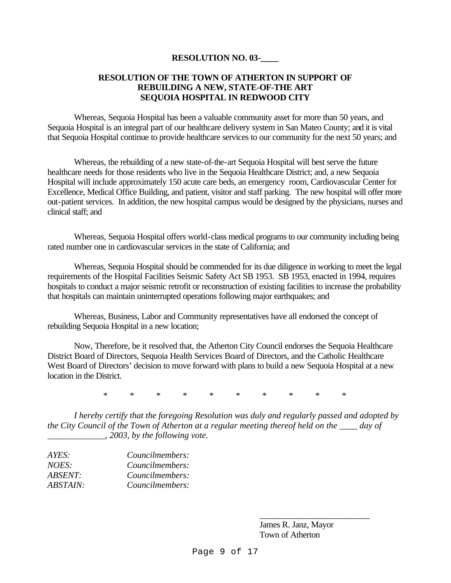#### **RESOLUTION NO. 03-\_\_\_\_**

#### **RESOLUTION OF THE TOWN OF ATHERTON IN SUPPORT OF REBUILDING A NEW, STATE-OF-THE ART SEQUOIA HOSPITAL IN REDWOOD CITY**

Whereas, Sequoia Hospital has been a valuable community asset for more than 50 years, and Sequoia Hospital is an integral part of our healthcare delivery system in San Mateo County; and it is vital that Sequoia Hospital continue to provide healthcare services to our community for the next 50 years; and

Whereas, the rebuilding of a new state-of-the-art Sequoia Hospital will best serve the future healthcare needs for those residents who live in the Sequoia Healthcare District; and, a new Sequoia Hospital will include approximately 150 acute care beds, an emergency room, Cardiovascular Center for Excellence, Medical Office Building, and patient, visitor and staff parking. The new hospital will offer more out-patient services. In addition, the new hospital campus would be designed by the physicians, nurses and clinical staff; and

Whereas, Sequoia Hospital offers world-class medical programs to our community including being rated number one in cardiovascular services in the state of California; and

Whereas, Sequoia Hospital should be commended for its due diligence in working to meet the legal requirements of the Hospital Facilities Seismic Safety Act SB 1953. SB 1953, enacted in 1994, requires hospitals to conduct a major seismic retrofit or reconstruction of existing facilities to increase the probability that hospitals can maintain uninterrupted operations following major earthquakes; and

Whereas, Business, Labor and Community representatives have all endorsed the concept of rebuilding Sequoia Hospital in a new location;

Now, Therefore, be it resolved that, the Atherton City Council endorses the Sequoia Healthcare District Board of Directors, Sequoia Health Services Board of Directors, and the Catholic Healthcare West Board of Directors' decision to move forward with plans to build a new Sequoia Hospital at a new location in the District.

\* \* \* \* \* \* \* \* \* \*

*I hereby certify that the foregoing Resolution was duly and regularly passed and adopted by the City Council of the Town of Atherton at a regular meeting thereof held on the \_\_\_\_ day of \_\_\_\_\_\_\_\_\_\_\_\_\_, 2003, by the following vote.*

| Councilmembers: |
|-----------------|
| Councilmembers: |
| Councilmembers: |
| Councilmembers: |
|                 |

James R. Janz, Mayor Town of Atherton

\_\_\_\_\_\_\_\_\_\_\_\_\_\_\_\_\_\_\_\_\_\_\_\_\_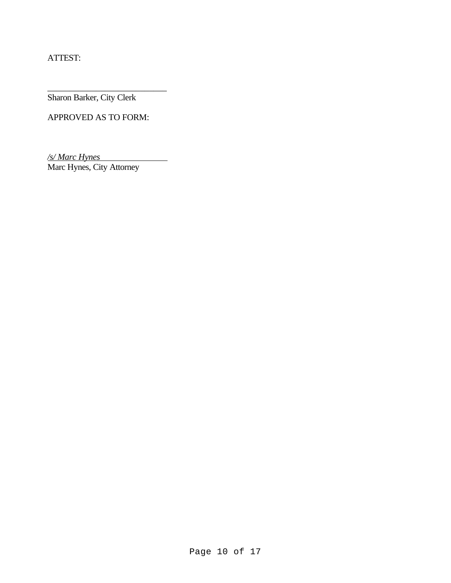ATTEST:

Sharon Barker, City Clerk

APPROVED AS TO FORM:

\_\_\_\_\_\_\_\_\_\_\_\_\_\_\_\_\_\_\_\_\_\_\_\_\_\_\_

*/s/ Marc Hynes* **Marc Hynes**<br>Marc Hynes, City Attorney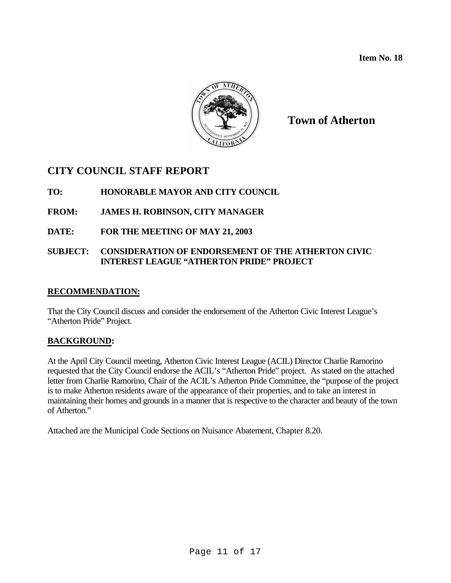**Item No. 18**



**Town of Atherton**

# **CITY COUNCIL STAFF REPORT**

## **TO: HONORABLE MAYOR AND CITY COUNCIL**

## **FROM: JAMES H. ROBINSON, CITY MANAGER**

## **DATE: FOR THE MEETING OF MAY 21, 2003**

#### **SUBJECT: CONSIDERATION OF ENDORSEMENT OF THE ATHERTON CIVIC INTEREST LEAGUE "ATHERTON PRIDE" PROJECT**

#### **RECOMMENDATION:**

That the City Council discuss and consider the endorsement of the Atherton Civic Interest League's "Atherton Pride" Project.

#### **BACKGROUND:**

At the April City Council meeting, Atherton Civic Interest League (ACIL) Director Charlie Ramorino requested that the City Council endorse the ACIL's "Atherton Pride" project. As stated on the attached letter from Charlie Ramorino, Chair of the ACIL's Atherton Pride Committee, the "purpose of the project is to make Atherton residents aware of the appearance of their properties, and to take an interest in maintaining their homes and grounds in a manner that is respective to the character and beauty of the town of Atherton."

Attached are the Municipal Code Sections on Nuisance Abatement, Chapter 8.20.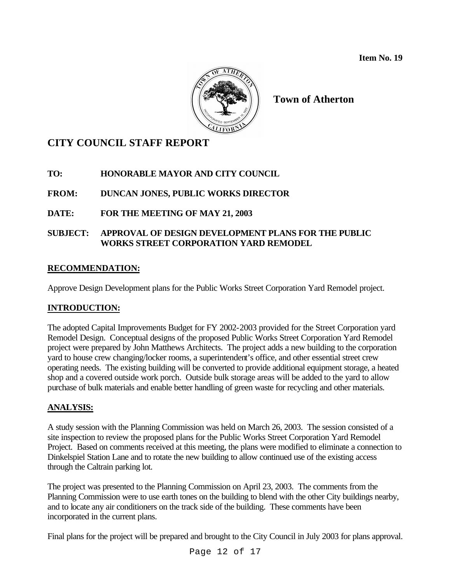

**Town of Atherton**

# **CITY COUNCIL STAFF REPORT**

**TO: HONORABLE MAYOR AND CITY COUNCIL**

**FROM: DUNCAN JONES, PUBLIC WORKS DIRECTOR**

**DATE: FOR THE MEETING OF MAY 21, 2003**

## **SUBJECT: APPROVAL OF DESIGN DEVELOPMENT PLANS FOR THE PUBLIC WORKS STREET CORPORATION YARD REMODEL**

## **RECOMMENDATION:**

Approve Design Development plans for the Public Works Street Corporation Yard Remodel project.

## **INTRODUCTION:**

The adopted Capital Improvements Budget for FY 2002-2003 provided for the Street Corporation yard Remodel Design. Conceptual designs of the proposed Public Works Street Corporation Yard Remodel project were prepared by John Matthews Architects. The project adds a new building to the corporation yard to house crew changing/locker rooms, a superintendent's office, and other essential street crew operating needs. The existing building will be converted to provide additional equipment storage, a heated shop and a covered outside work porch. Outside bulk storage areas will be added to the yard to allow purchase of bulk materials and enable better handling of green waste for recycling and other materials.

# **ANALYSIS:**

A study session with the Planning Commission was held on March 26, 2003. The session consisted of a site inspection to review the proposed plans for the Public Works Street Corporation Yard Remodel Project. Based on comments received at this meeting, the plans were modified to eliminate a connection to Dinkelspiel Station Lane and to rotate the new building to allow continued use of the existing access through the Caltrain parking lot.

The project was presented to the Planning Commission on April 23, 2003. The comments from the Planning Commission were to use earth tones on the building to blend with the other City buildings nearby, and to locate any air conditioners on the track side of the building. These comments have been incorporated in the current plans.

Final plans for the project will be prepared and brought to the City Council in July 2003 for plans approval.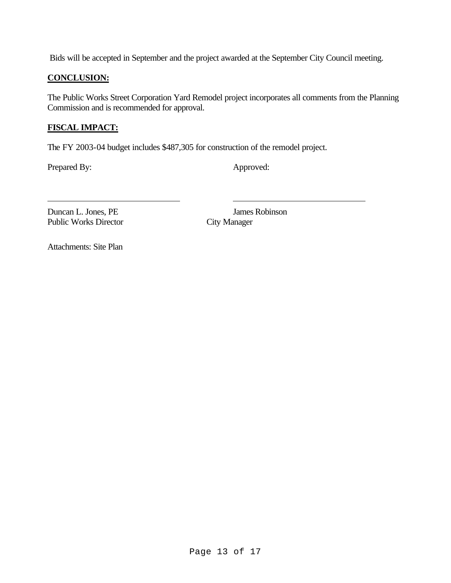Bids will be accepted in September and the project awarded at the September City Council meeting.

#### **CONCLUSION:**

The Public Works Street Corporation Yard Remodel project incorporates all comments from the Planning Commission and is recommended for approval.

## **FISCAL IMPACT:**

The FY 2003-04 budget includes \$487,305 for construction of the remodel project.

Prepared By: Approved:

Duncan L. Jones, PE James Robinson<br>Public Works Director City Manager Public Works Director

Attachments: Site Plan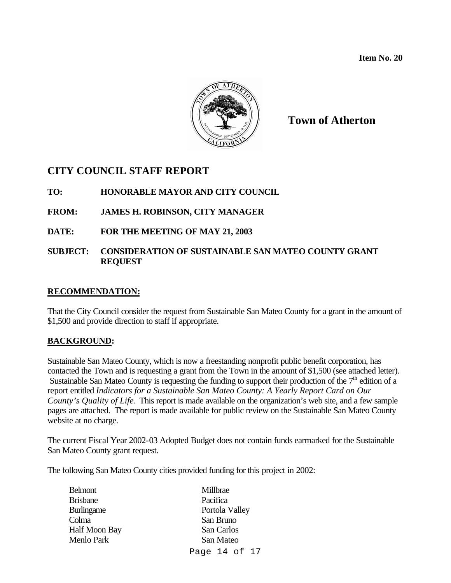**Item No. 20**



**Town of Atherton**

# **CITY COUNCIL STAFF REPORT**

## **TO: HONORABLE MAYOR AND CITY COUNCIL**

## **FROM: JAMES H. ROBINSON, CITY MANAGER**

## **DATE: FOR THE MEETING OF MAY 21, 2003**

#### **SUBJECT: CONSIDERATION OF SUSTAINABLE SAN MATEO COUNTY GRANT REQUEST**

#### **RECOMMENDATION:**

That the City Council consider the request from Sustainable San Mateo County for a grant in the amount of \$1,500 and provide direction to staff if appropriate.

#### **BACKGROUND:**

Sustainable San Mateo County, which is now a freestanding nonprofit public benefit corporation, has contacted the Town and is requesting a grant from the Town in the amount of \$1,500 (see attached letter). Sustainable San Mateo County is requesting the funding to support their production of the  $7<sup>th</sup>$  edition of a report entitled *Indicators for a Sustainable San Mateo County: A Yearly Report Card on Our County's Quality of Life*. This report is made available on the organization's web site, and a few sample pages are attached. The report is made available for public review on the Sustainable San Mateo County website at no charge.

The current Fiscal Year 2002-03 Adopted Budget does not contain funds earmarked for the Sustainable San Mateo County grant request.

The following San Mateo County cities provided funding for this project in 2002:

| <b>Belmont</b>       | Millbrae       |
|----------------------|----------------|
| <b>Brisbane</b>      | Pacifica       |
| <b>Burlingame</b>    | Portola Valley |
| Colma                | San Bruno      |
| <b>Half Moon Bay</b> | San Carlos     |
| <b>Menlo Park</b>    | San Mateo      |
|                      | Page 14 of 17  |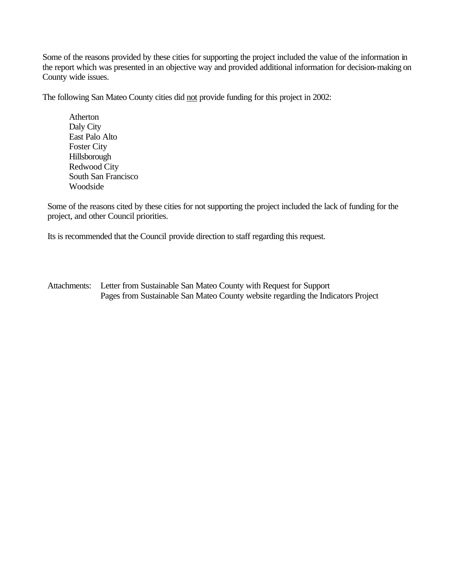Some of the reasons provided by these cities for supporting the project included the value of the information in the report which was presented in an objective way and provided additional information for decision-making on County wide issues.

The following San Mateo County cities did not provide funding for this project in 2002:

Atherton Daly City East Palo Alto Foster City Hillsborough Redwood City South San Francisco Woodside

Some of the reasons cited by these cities for not supporting the project included the lack of funding for the project, and other Council priorities.

Its is recommended that the Council provide direction to staff regarding this request.

Attachments: Letter from Sustainable San Mateo County with Request for Support Pages from Sustainable San Mateo County website regarding the Indicators Project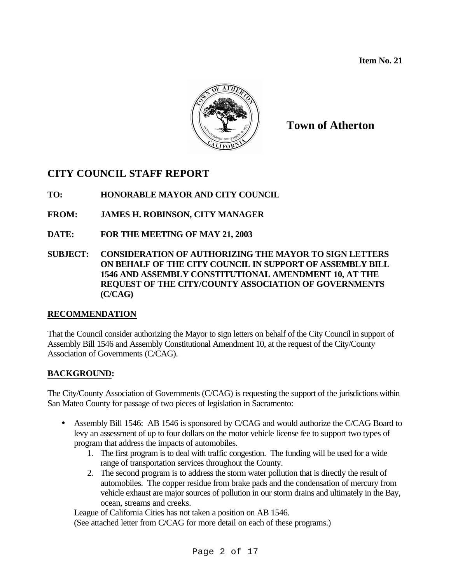**Item No. 21**



**Town of Atherton**

# **CITY COUNCIL STAFF REPORT**

**TO: HONORABLE MAYOR AND CITY COUNCIL**

- **FROM: JAMES H. ROBINSON, CITY MANAGER**
- **DATE: FOR THE MEETING OF MAY 21, 2003**
- **SUBJECT: CONSIDERATION OF AUTHORIZING THE MAYOR TO SIGN LETTERS ON BEHALF OF THE CITY COUNCIL IN SUPPORT OF ASSEMBLY BILL 1546 AND ASSEMBLY CONSTITUTIONAL AMENDMENT 10, AT THE REQUEST OF THE CITY/COUNTY ASSOCIATION OF GOVERNMENTS (C/CAG)**

#### **RECOMMENDATION**

That the Council consider authorizing the Mayor to sign letters on behalf of the City Council in support of Assembly Bill 1546 and Assembly Constitutional Amendment 10, at the request of the City/County Association of Governments (C/CAG).

#### **BACKGROUND:**

The City/County Association of Governments (C/CAG) is requesting the support of the jurisdictions within San Mateo County for passage of two pieces of legislation in Sacramento:

- Assembly Bill 1546: AB 1546 is sponsored by C/CAG and would authorize the C/CAG Board to levy an assessment of up to four dollars on the motor vehicle license fee to support two types of program that address the impacts of automobiles.
	- 1. The first program is to deal with traffic congestion. The funding will be used for a wide range of transportation services throughout the County.
	- 2. The second program is to address the storm water pollution that is directly the result of automobiles. The copper residue from brake pads and the condensation of mercury from vehicle exhaust are major sources of pollution in our storm drains and ultimately in the Bay, ocean, streams and creeks.

League of California Cities has not taken a position on AB 1546.

(See attached letter from C/CAG for more detail on each of these programs.)